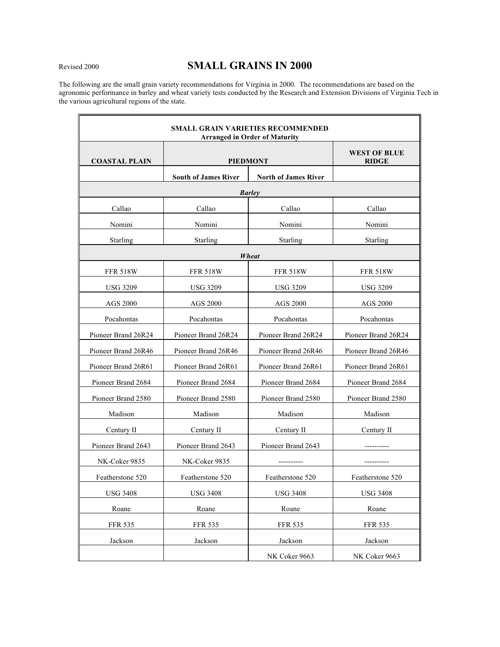# Revised <sup>2000</sup> **SMALL GRAINS IN 2000**

The following are the small grain variety recommendations for Virginia in 2000. The recommendations are based on the agronomic performance in barley and wheat variety tests conducted by the Research and Extension Divisions of Virginia Tech in the various agricultural regions of the state.

|                      |                             | <b>SMALL GRAIN VARIETIES RECOMMENDED</b><br><b>Arranged in Order of Maturity</b> |                                     |
|----------------------|-----------------------------|----------------------------------------------------------------------------------|-------------------------------------|
| <b>COASTAL PLAIN</b> |                             | <b>PIEDMONT</b>                                                                  | <b>WEST OF BLUE</b><br><b>RIDGE</b> |
|                      | <b>South of James River</b> | <b>North of James River</b>                                                      |                                     |
|                      |                             | <b>Barley</b>                                                                    |                                     |
| Callao               | Callao                      | Callao                                                                           | Callao                              |
| Nomini               | Nomini                      | Nomini                                                                           | Nomini                              |
| Starling             | Starling                    | Starling                                                                         | Starling                            |
|                      |                             | Wheat                                                                            |                                     |
| <b>FFR 518W</b>      | <b>FFR 518W</b>             | <b>FFR 518W</b>                                                                  | <b>FFR 518W</b>                     |
| <b>USG 3209</b>      | USG 3209                    | <b>USG 3209</b>                                                                  | <b>USG 3209</b>                     |
| AGS 2000             | AGS 2000                    | AGS 2000                                                                         | <b>AGS 2000</b>                     |
| Pocahontas           | Pocahontas                  | Pocahontas                                                                       | Pocahontas                          |
| Pioneer Brand 26R24  | Pioneer Brand 26R24         | Pioneer Brand 26R24                                                              | Pioneer Brand 26R24                 |
| Pioneer Brand 26R46  | Pioneer Brand 26R46         | Pioneer Brand 26R46                                                              | Pioneer Brand 26R46                 |
| Pioneer Brand 26R61  | Pioneer Brand 26R61         | Pioneer Brand 26R61                                                              | Pioneer Brand 26R61                 |
| Pioneer Brand 2684   | Pioneer Brand 2684          | Pioneer Brand 2684                                                               | Pioneer Brand 2684                  |
| Pioneer Brand 2580   | Pioneer Brand 2580          | Pioneer Brand 2580                                                               | Pioneer Brand 2580                  |
| Madison              | Madison                     | Madison                                                                          | Madison                             |
| Century II           | Century II                  | Century II                                                                       | Century II                          |
| Pioneer Brand 2643   | Pioneer Brand 2643          | Pioneer Brand 2643                                                               |                                     |
| NK-Coker 9835        | NK-Coker 9835               | ----------                                                                       |                                     |
| Featherstone 520     | Featherstone 520            | Featherstone 520                                                                 | Featherstone 520                    |
| <b>USG 3408</b>      | <b>USG 3408</b>             | <b>USG 3408</b>                                                                  | <b>USG 3408</b>                     |
| Roane                | Roane                       | Roane                                                                            | Roane                               |
| <b>FFR 535</b>       | <b>FFR 535</b>              | <b>FFR 535</b>                                                                   | <b>FFR 535</b>                      |
| Jackson              | Jackson                     | Jackson                                                                          | Jackson                             |
|                      |                             | NK Coker 9663                                                                    | NK Coker 9663                       |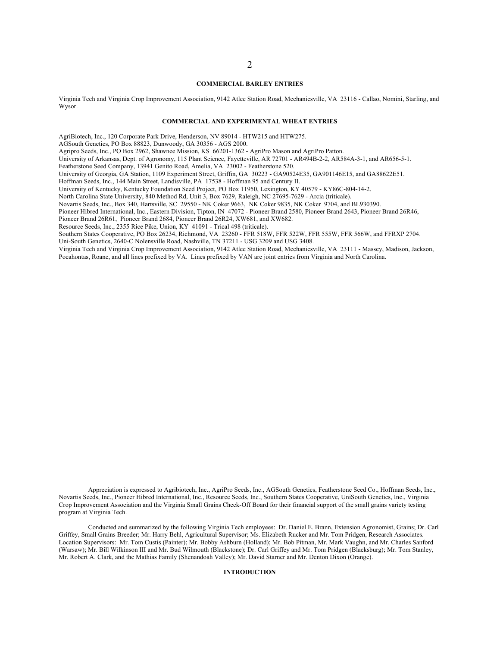#### **COMMERCIAL BARLEY ENTRIES**

Virginia Tech and Virginia Crop Improvement Association, 9142 Atlee Station Road, Mechanicsville, VA 23116 - Callao, Nomini, Starling, and Wysor.

#### **COMMERCIAL AND EXPERIMENTAL WHEAT ENTRIES**

AgriBiotech, Inc., 120 Corporate Park Drive, Henderson, NV 89014 - HTW215 and HTW275.

AGSouth Genetics, PO Box 88823, Dunwoody, GA 30356 - AGS 2000.

Agripro Seeds, Inc., PO Box 2962, Shawnee Mission, KS 66201-1362 - AgriPro Mason and AgriPro Patton.

University of Arkansas, Dept. of Agronomy, 115 Plant Science, Fayetteville, AR 72701 - AR494B-2-2, AR584A-3-1, and AR656-5-1.

Featherstone Seed Company, 13941 Genito Road, Amelia, VA 23002 - Featherstone 520.

University of Georgia, GA Station, 1109 Experiment Street, Griffin, GA 30223 - GA90524E35, GA901146E15, and GA88622E51.

Hoffman Seeds, Inc., 144 Main Street, Landisville, PA 17538 - Hoffman 95 and Century II.

University of Kentucky, Kentucky Foundation Seed Project, PO Box 11950, Lexington, KY 40579 - KY86C-804-14-2.

North Carolina State University, 840 Method Rd, Unit 3, Box 7629, Raleigh, NC 27695-7629 - Arcia (triticale).

Novartis Seeds, Inc., Box 340, Hartsville, SC 29550 - NK Coker 9663, NK Coker 9835, NK Coker 9704, and BL930390.

Pioneer Hibred International, Inc., Eastern Division, Tipton, IN 47072 - Pioneer Brand 2580, Pioneer Brand 2643, Pioneer Brand 26R46,

Pioneer Brand 26R61, Pioneer Brand 2684, Pioneer Brand 26R24, XW681, and XW682.

Resource Seeds, Inc., 2355 Rice Pike, Union, KY 41091 - Trical 498 (triticale).

Southern States Cooperative, PO Box 26234, Richmond, VA 23260 - FFR 518W, FFR 522W, FFR 555W, FFR 566W, and FFRXP 2704. Uni-South Genetics, 2640-C Nolensville Road, Nashville, TN 37211 - USG 3209 and USG 3408.

Virginia Tech and Virginia Crop Improvement Association, 9142 Atlee Station Road, Mechanicsville, VA 23111 - Massey, Madison, Jackson, Pocahontas, Roane, and all lines prefixed by VA. Lines prefixed by VAN are joint entries from Virginia and North Carolina.

Appreciation is expressed to Agribiotech, Inc., AgriPro Seeds, Inc., AGSouth Genetics, Featherstone Seed Co., Hoffman Seeds, Inc., Novartis Seeds, Inc., Pioneer Hibred International, Inc., Resource Seeds, Inc., Southern States Cooperative, UniSouth Genetics, Inc., Virginia Crop Improvement Association and the Virginia Small Grains Check-Off Board for their financial support of the small grains variety testing program at Virginia Tech.

Conducted and summarized by the following Virginia Tech employees: Dr. Daniel E. Brann, Extension Agronomist, Grains; Dr. Carl Griffey, Small Grains Breeder; Mr. Harry Behl, Agricultural Supervisor; Ms. Elizabeth Rucker and Mr. Tom Pridgen, Research Associates. Location Supervisors: Mr. Tom Custis (Painter); Mr. Bobby Ashburn (Holland); Mr. Bob Pitman, Mr. Mark Vaughn, and Mr. Charles Sanford (Warsaw); Mr. Bill Wilkinson III and Mr. Bud Wilmouth (Blackstone); Dr. Carl Griffey and Mr. Tom Pridgen (Blacksburg); Mr. Tom Stanley, Mr. Robert A. Clark, and the Mathias Family (Shenandoah Valley); Mr. David Starner and Mr. Denton Dixon (Orange).

#### **INTRODUCTION**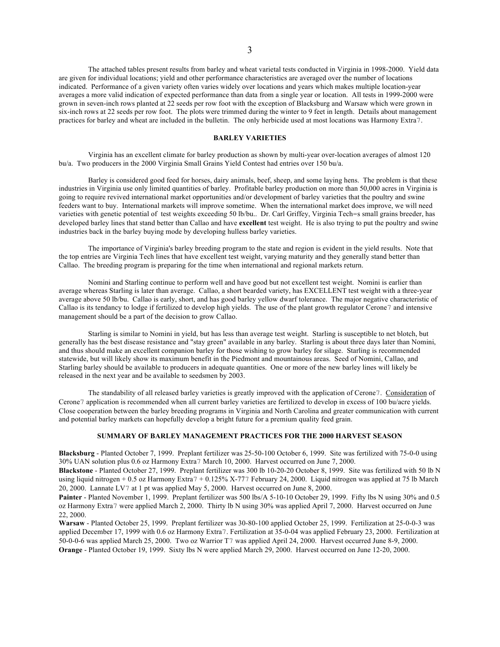The attached tables present results from barley and wheat varietal tests conducted in Virginia in 1998-2000. Yield data are given for individual locations; yield and other performance characteristics are averaged over the number of locations indicated. Performance of a given variety often varies widely over locations and years which makes multiple location-year averages a more valid indication of expected performance than data from a single year or location. All tests in 1999-2000 were grown in seven-inch rows planted at 22 seeds per row foot with the exception of Blacksburg and Warsaw which were grown in six-inch rows at 22 seeds per row foot. The plots were trimmed during the winter to 9 feet in length. Details about management practices for barley and wheat are included in the bulletin. The only herbicide used at most locations was Harmony Extra7.

#### **BARLEY VARIETIES**

Virginia has an excellent climate for barley production as shown by multi-year over-location averages of almost 120 bu/a. Two producers in the 2000 Virginia Small Grains Yield Contest had entries over 150 bu/a.

Barley is considered good feed for horses, dairy animals, beef, sheep, and some laying hens. The problem is that these industries in Virginia use only limited quantities of barley. Profitable barley production on more than 50,000 acres in Virginia is going to require revived international market opportunities and/or development of barley varieties that the poultry and swine feeders want to buy. International markets will improve sometime. When the international market does improve, we will need varieties with genetic potential of test weights exceeding 50 lb/bu.. Dr. Carl Griffey, Virginia Tech=s small grains breeder, has developed barley lines that stand better than Callao and have **excellent** test weight. He is also trying to put the poultry and swine industries back in the barley buying mode by developing hulless barley varieties.

The importance of Virginia's barley breeding program to the state and region is evident in the yield results. Note that the top entries are Virginia Tech lines that have excellent test weight, varying maturity and they generally stand better than Callao. The breeding program is preparing for the time when international and regional markets return.

Nomini and Starling continue to perform well and have good but not excellent test weight. Nomini is earlier than average whereas Starling is later than average. Callao, a short bearded variety, has EXCELLENT test weight with a three-year average above 50 lb/bu. Callao is early, short, and has good barley yellow dwarf tolerance. The major negative characteristic of Callao is its tendancy to lodge if fertilized to develop high yields. The use of the plant growth regulator Cerone7 and intensive management should be a part of the decision to grow Callao.

Starling is similar to Nomini in yield, but has less than average test weight. Starling is susceptible to net blotch, but generally has the best disease resistance and "stay green" available in any barley. Starling is about three days later than Nomini, and thus should make an excellent companion barley for those wishing to grow barley for silage. Starling is recommended statewide, but will likely show its maximum benefit in the Piedmont and mountainous areas. Seed of Nomini, Callao, and Starling barley should be available to producers in adequate quantities. One or more of the new barley lines will likely be released in the next year and be available to seedsmen by 2003.

The standability of all released barley varieties is greatly improved with the application of Cerone7. Consideration of Cerone7 application is recommended when all current barley varieties are fertilized to develop in excess of 100 bu/acre yields. Close cooperation between the barley breeding programs in Virginia and North Carolina and greater communication with current and potential barley markets can hopefully develop a bright future for a premium quality feed grain.

## **SUMMARY OF BARLEY MANAGEMENT PRACTICES FOR THE 2000 HARVEST SEASON**

**Blacksburg** - Planted October 7, 1999. Preplant fertilizer was 25-50-100 October 6, 1999. Site was fertilized with 75-0-0 using 30% UAN solution plus 0.6 oz Harmony Extra7 March 10, 2000. Harvest occurred on June 7, 2000.

**Blackstone** - Planted October 27, 1999. Preplant fertilizer was 300 lb 10-20-20 October 8, 1999. Site was fertilized with 50 lb N using liquid nitrogen + 0.5 oz Harmony Extra7 + 0.125% X-777 February 24, 2000. Liquid nitrogen was applied at 75 lb March 20, 2000. Lannate LV7 at 1 pt was applied May 5, 2000. Harvest occurred on June 8, 2000.

**Painter** - Planted November 1, 1999. Preplant fertilizer was 500 lbs/A 5-10-10 October 29, 1999. Fifty lbs N using 30% and 0.5 oz Harmony Extra7 were applied March 2, 2000. Thirty lb N using 30% was applied April 7, 2000. Harvest occurred on June 22, 2000.

**Warsaw** - Planted October 25, 1999. Preplant fertilizer was 30-80-100 applied October 25, 1999. Fertilization at 25-0-0-3 was applied December 17, 1999 with 0.6 oz Harmony Extra7. Fertilization at 35-0-04 was applied February 23, 2000. Fertilization at 50-0-0-6 was applied March 25, 2000. Two oz Warrior T7 was applied April 24, 2000. Harvest occurred June 8-9, 2000. **Orange** - Planted October 19, 1999. Sixty lbs N were applied March 29, 2000. Harvest occurred on June 12-20, 2000.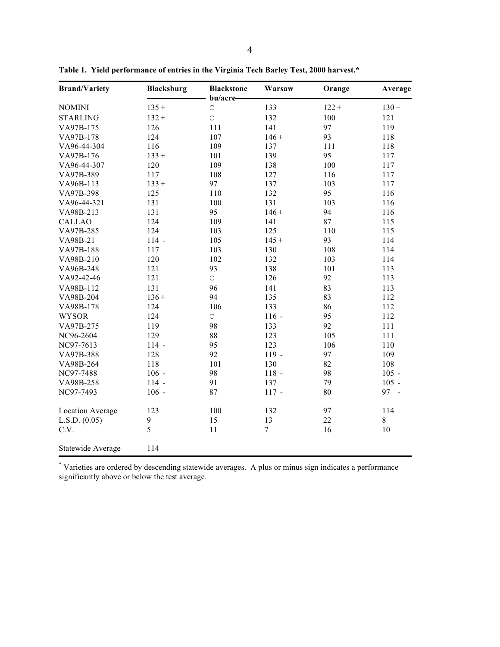| <b>Brand/Variety</b>    | <b>Blacksburg</b> | <b>Blackstone</b><br>bu/acre- | Warsaw  | Orange  | Average |
|-------------------------|-------------------|-------------------------------|---------|---------|---------|
| <b>NOMINI</b>           | $135 +$           | $\mathsf C$                   | 133     | $122 +$ | $130 +$ |
| <b>STARLING</b>         | $132 +$           | $\mathsf{C}$                  | 132     | 100     | 121     |
| VA97B-175               | 126               | 111                           | 141     | 97      | 119     |
| VA97B-178               | 124               | 107                           | $146 +$ | 93      | 118     |
| VA96-44-304             | 116               | 109                           | 137     | 111     | 118     |
| VA97B-176               | $133 +$           | 101                           | 139     | 95      | 117     |
| VA96-44-307             | 120               | 109                           | 138     | 100     | 117     |
| VA97B-389               | 117               | 108                           | 127     | 116     | 117     |
| VA96B-113               | $133 +$           | 97                            | 137     | 103     | 117     |
| VA97B-398               | 125               | 110                           | 132     | 95      | 116     |
| VA96-44-321             | 131               | 100                           | 131     | 103     | 116     |
| VA98B-213               | 131               | 95                            | $146 +$ | 94      | 116     |
| <b>CALLAO</b>           | 124               | 109                           | 141     | 87      | 115     |
| VA97B-285               | 124               | 103                           | 125     | 110     | 115     |
| VA98B-21                | $114 -$           | 105                           | $145 +$ | 93      | 114     |
| VA97B-188               | 117               | 103                           | 130     | 108     | 114     |
| VA98B-210               | 120               | 102                           | 132     | 103     | 114     |
| VA96B-248               | 121               | 93                            | 138     | 101     | 113     |
| VA92-42-46              | 121               | $\mathsf C$                   | 126     | 92      | 113     |
| VA98B-112               | 131               | 96                            | 141     | 83      | 113     |
| VA98B-204               | $136 +$           | 94                            | 135     | 83      | 112     |
| VA98B-178               | 124               | 106                           | 133     | 86      | 112     |
| <b>WYSOR</b>            | 124               | $\mathsf C$                   | $116 -$ | 95      | 112     |
| VA97B-275               | 119               | 98                            | 133     | 92      | 111     |
| NC96-2604               | 129               | 88                            | 123     | 105     | 111     |
| NC97-7613               | $114 -$           | 95                            | 123     | 106     | 110     |
| VA97B-388               | 128               | 92                            | $119 -$ | 97      | 109     |
| VA98B-264               | 118               | 101                           | 130     | 82      | 108     |
| NC97-7488               | $106 -$           | 98                            | $118 -$ | 98      | $105 -$ |
| VA98B-258               | $114 -$           | 91                            | 137     | 79      | $105 -$ |
| NC97-7493               | $106 -$           | 87                            | $117 -$ | 80      | 97 -    |
| <b>Location Average</b> | 123               | 100                           | 132     | 97      | 114     |
| L.S.D. (0.05)           | $\mathbf{9}$      | 15                            | 13      | 22      | 8       |
| C.V.                    | 5                 | 11                            | $\tau$  | 16      | 10      |
| Statewide Average       | 114               |                               |         |         |         |

**Table 1. Yield performance of entries in the Virginia Tech Barley Test, 2000 harvest.\***

\* Varieties are ordered by descending statewide averages. A plus or minus sign indicates a performance significantly above or below the test average.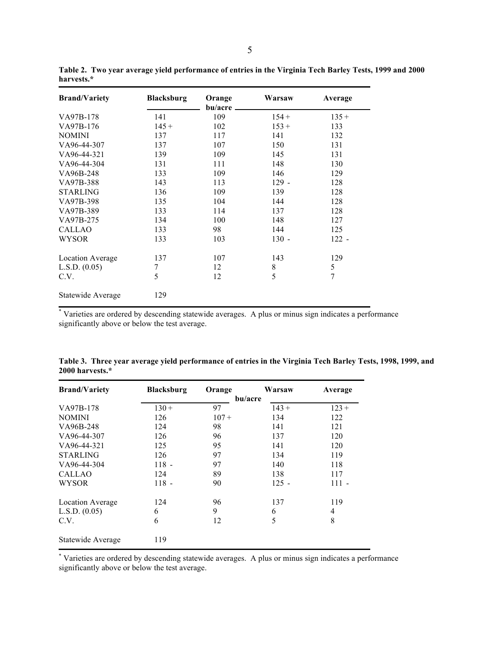| <b>Brand/Variety</b> | <b>Blacksburg</b> | Orange<br>bu/acre | Warsaw      | Average        |
|----------------------|-------------------|-------------------|-------------|----------------|
| VA97B-178            | 141               | 109               | $154 +$     | $135 +$        |
| VA97B-176            | $145 +$           | 102               | $153 +$     | 133            |
| <b>NOMINI</b>        | 137               | 117               | 141         | 132            |
| VA96-44-307          | 137               | 107               | 150         | 131            |
| VA96-44-321          | 139               | 109               | 145         | 131            |
| VA96-44-304          | 131               | 111               | 148         | 130            |
| VA96B-248            | 133               | 109               | 146         | 129            |
| VA97B-388            | 143               | 113               | $129 -$     | 128            |
| <b>STARLING</b>      | 136               | 109               | 139         | 128            |
| VA97B-398            | 135               | 104               | 144         | 128            |
| VA97B-389            | 133               | 114               | 137         | 128            |
| VA97B-275            | 134               | 100               | 148         | 127            |
| <b>CALLAO</b>        | 133               | 98                | 144         | 125            |
| WYSOR                | 133               | 103               | $130 -$     | $122 -$        |
| Location Average     | 137               | 107               | 143         | 129            |
| L.S.D. (0.05)        | 7                 | 12                | $\,$ 8 $\,$ | 5              |
| C.V.                 | 5                 | 12                | 5           | $\overline{7}$ |
| Statewide Average    | 129               |                   |             |                |

Table 2. Two year average yield performance of entries in the Virginia Tech Barley Tests, 1999 and 2000 **harvests.\***

\* Varieties are ordered by descending statewide averages. A plus or minus sign indicates a performance significantly above or below the test average.

| <b>Brand/Variety</b> | <b>Blacksburg</b> | Orange  | Warsaw  | Average |
|----------------------|-------------------|---------|---------|---------|
|                      |                   |         | bu/acre |         |
| VA97B-178            | $130 +$           | 97      | $143 +$ | $123 +$ |
| <b>NOMINI</b>        | 126               | $107 +$ | 134     | 122     |
| VA96B-248            | 124               | 98      | 141     | 121     |
| VA96-44-307          | 126               | 96      | 137     | 120     |
| VA96-44-321          | 125               | 95      | 141     | 120     |
| <b>STARLING</b>      | 126               | 97      | 134     | 119     |
| VA96-44-304          | $118 -$           | 97      | 140     | 118     |
| <b>CALLAO</b>        | 124               | 89      | 138     | 117     |
| <b>WYSOR</b>         | $118 -$           | 90      | $125 -$ | $111 -$ |
| Location Average     | 124               | 96      | 137     | 119     |
| L.S.D. $(0.05)$      | 6                 | 9       | 6       | 4       |
| C.V.                 | 6                 | 12      | 5       | 8       |
| Statewide Average    | 119               |         |         |         |

Table 3. Three year average yield performance of entries in the Virginia Tech Barley Tests, 1998, 1999, and **2000 harvests.\***

\* Varieties are ordered by descending statewide averages. A plus or minus sign indicates a performance significantly above or below the test average.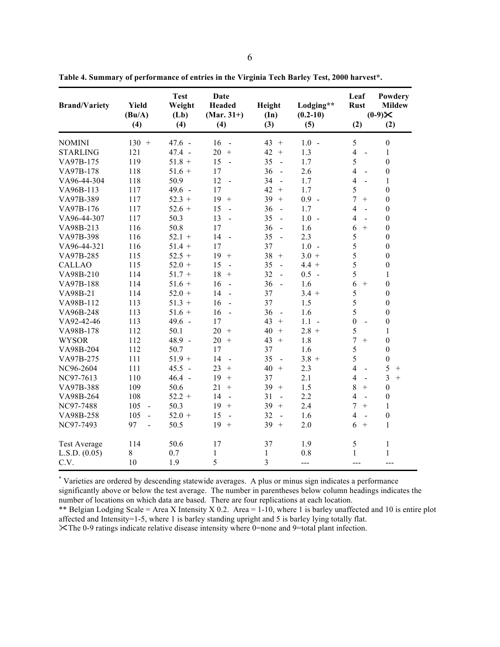| <b>Brand/Variety</b> | <b>Yield</b><br>(Bu/A)<br>(4) | <b>Test</b><br>Weight<br>(Lb)<br>(4) | Date<br><b>Headed</b><br>$(Mar. 31+)$<br>(4) | Height<br>(In)<br>(3)          | Lodging**<br>$(0.2 - 10)$<br>(5) | Leaf<br><b>Rust</b><br>(2)                 | Powdery<br><b>Mildew</b><br>$(0-9)$ $\times$<br>(2) |
|----------------------|-------------------------------|--------------------------------------|----------------------------------------------|--------------------------------|----------------------------------|--------------------------------------------|-----------------------------------------------------|
| <b>NOMINI</b>        | $130 +$                       | $47.6 -$                             | 16                                           | 43<br>$\boldsymbol{+}$         | $1.0 -$                          | 5                                          | $\boldsymbol{0}$                                    |
| <b>STARLING</b>      | 121                           | $47.4 -$                             | $20 +$                                       | 42<br>$\, +$                   | 1.3                              | $\overline{4}$<br>$\ddot{\phantom{a}}$     | $\mathbf{1}$                                        |
| VA97B-175            | 119                           | $51.8 +$                             | 15<br>$\sim$                                 | 35<br>$\ddot{\phantom{a}}$     | 1.7                              | 5                                          | $\boldsymbol{0}$                                    |
| VA97B-178            | 118                           | $51.6 +$                             | 17                                           | 36<br>$\Box$                   | 2.6                              | $\overline{4}$<br>$\blacksquare$           | $\boldsymbol{0}$                                    |
| VA96-44-304          | 118                           | 50.9                                 | 12<br>$\ddot{\phantom{a}}$                   | 34<br>$\overline{a}$           | 1.7                              | $\overline{4}$<br>L.                       | $\mathbf{1}$                                        |
| VA96B-113            | 117                           | $49.6 -$                             | 17                                           | 42<br>$+$                      | 1.7                              | 5                                          | $\boldsymbol{0}$                                    |
| VA97B-389            | 117                           | $52.3 +$                             | 19<br>$+$                                    | 39<br>$+$                      | $0.9 -$                          | 7<br>$+$                                   | $\boldsymbol{0}$                                    |
| VA97B-176            | 117                           | $52.6 +$                             | 15<br>$\sim$                                 | 36<br>$\sim$                   | 1.7                              | $\overline{4}$<br>$\overline{\phantom{a}}$ | $\boldsymbol{0}$                                    |
| VA96-44-307          | 117                           | 50.3                                 | 13<br>$\overline{a}$                         | 35<br>$\sim$                   | $1.0 -$                          | 4<br>$\mathbf{r}$                          | $\boldsymbol{0}$                                    |
| VA98B-213            | 116                           | 50.8                                 | 17                                           | 36<br>$\Box$                   | 1.6                              | 6<br>$+$                                   | $\mathbf{0}$                                        |
| VA97B-398            | 116                           | $52.1 +$                             | 14<br>$\blacksquare$                         | 35<br>$\blacksquare$           | 2.3                              | 5                                          | $\boldsymbol{0}$                                    |
| VA96-44-321          | 116                           | $51.4 +$                             | 17                                           | 37                             | $1.0 -$                          | 5                                          | $\boldsymbol{0}$                                    |
| VA97B-285            | 115                           | $52.5 +$                             | 19<br>$+$                                    | 38<br>$+$                      | $3.0 +$                          | 5                                          | $\boldsymbol{0}$                                    |
| <b>CALLAO</b>        | 115                           | $52.0 +$                             | 15<br>$\sim$                                 | 35<br>$\bar{\phantom{a}}$      | $4.4 +$                          | 5                                          | $\boldsymbol{0}$                                    |
| VA98B-210            | 114                           | $51.7 +$                             | 18<br>$+$                                    | 32<br>$\mathbf{L}$             | $0.5 -$                          | 5                                          | $\mathbf{1}$                                        |
| VA97B-188            | 114                           | $51.6 +$                             | 16<br>$\overline{a}$                         | 36<br>$\Box$                   | 1.6                              | 6<br>$+$                                   | $\boldsymbol{0}$                                    |
| VA98B-21             | 114                           | $52.0 +$                             | 14<br>$\overline{a}$                         | 37                             | $3.4 +$                          | 5                                          | $\theta$                                            |
| VA98B-112            | 113                           | $51.3 +$                             | 16<br>$\sim$                                 | 37                             | 1.5                              | 5                                          | $\boldsymbol{0}$                                    |
| VA96B-248            | 113                           | $51.6 +$                             | 16<br>$\sim$                                 | 36<br>$\blacksquare$           | 1.6                              | 5                                          | $\boldsymbol{0}$                                    |
| VA92-42-46           | 113                           | $49.6 -$                             | 17                                           | 43<br>$+$                      | $1.1 -$                          | $\boldsymbol{0}$<br>$\blacksquare$         | $\boldsymbol{0}$                                    |
| VA98B-178            | 112                           | 50.1                                 | $20 +$                                       | 40<br>$\boldsymbol{+}$         | $2.8 +$                          | 5                                          | 1                                                   |
| <b>WYSOR</b>         | 112                           | $48.9 -$                             | $20 +$                                       | 43<br>$^{+}$                   | 1.8                              | $\overline{7}$<br>$+$                      | $\boldsymbol{0}$                                    |
| VA98B-204            | 112                           | 50.7                                 | 17                                           | 37                             | 1.6                              | 5                                          | $\boldsymbol{0}$                                    |
| VA97B-275            | 111                           | $51.9 +$                             | 14<br>$\sim$                                 | 35<br>$\blacksquare$           | $3.8 +$                          | 5                                          | $\boldsymbol{0}$                                    |
| NC96-2604            | 111                           | $45.5 -$                             | 23<br>$+$                                    | 40<br>$+$                      | 2.3                              | $\overline{4}$<br>$\blacksquare$           | 5<br>$^{+}$                                         |
| NC97-7613            | 110                           | $46.4 -$                             | 19<br>$+$                                    | 37                             | 2.1                              | $\overline{4}$<br>$\overline{a}$           | $\overline{3}$<br>$+$                               |
| VA97B-388            | 109                           | 50.6                                 | 21<br>$+$                                    | 39<br>$^{+}$                   | 1.5                              | 8<br>$+$                                   | $\boldsymbol{0}$                                    |
| VA98B-264            | 108                           | $52.2 +$                             | 14<br>$\sim$                                 | 31<br>$\overline{\phantom{a}}$ | 2.2                              | 4<br>$\mathbf{r}$                          | $\boldsymbol{0}$                                    |
| NC97-7488            | 105<br>$\bar{\phantom{a}}$    | 50.3                                 | 19<br>$+$                                    | 39<br>$\boldsymbol{+}$         | 2.4                              | $\overline{7}$<br>$+$                      | $\mathbf{1}$                                        |
| VA98B-258            | 105<br>$\blacksquare$         | $52.0 +$                             | 15<br>$\overline{\phantom{a}}$               | 32<br>$\sim$                   | 1.6                              | $\overline{4}$<br>$\overline{a}$           | $\boldsymbol{0}$                                    |
| NC97-7493            | 97<br>$\overline{a}$          | 50.5                                 | 19<br>$^{+}$                                 | 39<br>$+$                      | 2.0                              | 6<br>$+$                                   | $\mathbf{1}$                                        |
| <b>Test Average</b>  | 114                           | 50.6                                 | 17                                           | 37                             | 1.9                              | 5                                          | $\mathbf{1}$                                        |
| L.S.D. (0.05)        | 8                             | 0.7                                  | $\mathbf{1}$                                 | 1                              | 0.8                              | 1                                          | $\mathbf{1}$                                        |
| C.V.                 | 10                            | 1.9                                  | 5                                            | $\overline{3}$                 | $---$                            | ---                                        | ---                                                 |

**Table 4. Summary of performance of entries in the Virginia Tech Barley Test, 2000 harvest\*.**

\* Varieties are ordered by descending statewide averages. A plus or minus sign indicates a performance significantly above or below the test average. The number in parentheses below column headings indicates the number of locations on which data are based. There are four replications at each location. \*\* Belgian Lodging Scale = Area X Intensity X 0.2. Area = 1-10, where 1 is barley unaffected and 10 is entire plot

affected and Intensity=1-5, where 1 is barley standing upright and 5 is barley lying totally flat. The 0-9 ratings indicate relative disease intensity where 0=none and 9=total plant infection.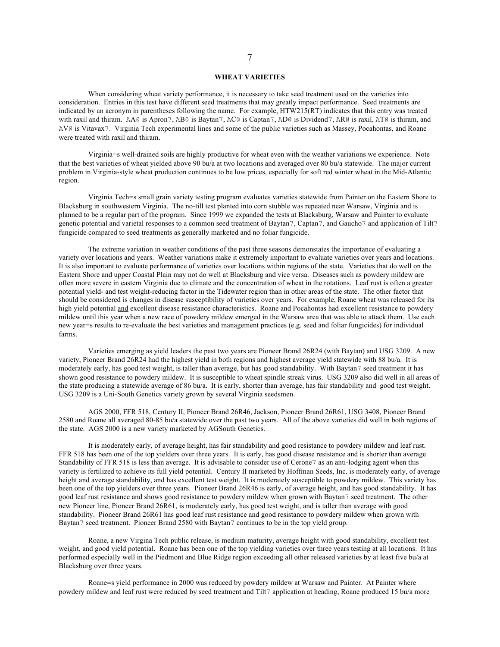## **WHEAT VARIETIES**

When considering wheat variety performance, it is necessary to take seed treatment used on the varieties into consideration. Entries in this test have different seed treatments that may greatly impact performance. Seed treatments are indicated by an acronym in parentheses following the name. For example, HTW215(RT) indicates that this entry was treated with raxil and thiram. AA@ is Apron7, AB@ is Baytan7, AC@ is Captan7, AD@ is Dividend7, AR@ is raxil, AT@ is thiram, and AV@ is Vitavax7. Virginia Tech experimental lines and some of the public varieties such as Massey, Pocahontas, and Roane were treated with raxil and thiram.

Virginia=s well-drained soils are highly productive for wheat even with the weather variations we experience. Note that the best varieties of wheat yielded above 90 bu/a at two locations and averaged over 80 bu/a statewide. The major current problem in Virginia-style wheat production continues to be low prices, especially for soft red winter wheat in the Mid-Atlantic region.

Virginia Tech=s small grain variety testing program evaluates varieties statewide from Painter on the Eastern Shore to Blacksburg in southwestern Virginia. The no-till test planted into corn stubble was repeated near Warsaw, Virginia and is planned to be a regular part of the program. Since 1999 we expanded the tests at Blacksburg, Warsaw and Painter to evaluate genetic potential and varietal responses to a common seed treatment of Baytan7, Captan7, and Gaucho7 and application of Tilt7 fungicide compared to seed treatments as generally marketed and no foliar fungicide.

The extreme variation in weather conditions of the past three seasons demonstates the importance of evaluating a variety over locations and years. Weather variations make it extremely important to evaluate varieties over years and locations. It is also important to evaluate performance of varieties over locations within regions of the state. Varieties that do well on the Eastern Shore and upper Coastal Plain may not do well at Blacksburg and vice versa. Diseases such as powdery mildew are often more severe in eastern Virginia due to climate and the concentration of wheat in the rotations. Leaf rust is often a greater potential yield- and test weight-reducing factor in the Tidewater region than in other areas of the state. The other factor that should be considered is changes in disease susceptibility of varieties over years. For example, Roane wheat was released for its high yield potential and excellent disease resistance characteristics. Roane and Pocahontas had excellent resistance to powdery mildew until this year when a new race of powdery mildew emerged in the Warsaw area that was able to attack them. Use each new year=s results to re-evaluate the best varieties and management practices (e.g. seed and foliar fungicides) for individual farms.

Varieties emerging as yield leaders the past two years are Pioneer Brand 26R24 (with Baytan) and USG 3209. A new variety, Pioneer Brand 26R24 had the highest yield in both regions and highest average yield statewide with 88 bu/a. It is moderately early, has good test weight, is taller than average, but has good standability. With Baytan7 seed treatment it has shown good resistance to powdery mildew. It is susceptible to wheat spindle streak virus. USG 3209 also did well in all areas of the state producing a statewide average of 86 bu/a. It is early, shorter than average, has fair standability and good test weight. USG 3209 is a Uni-South Genetics variety grown by several Virginia seedsmen.

AGS 2000, FFR 518, Century II, Pioneer Brand 26R46, Jackson, Pioneer Brand 26R61, USG 3408, Pioneer Brand 2580 and Roane all averaged 80-85 bu/a statewide over the past two years. All of the above varieties did well in both regions of the state. AGS 2000 is a new variety marketed by AGSouth Genetics.

It is moderately early, of average height, has fair standability and good resistance to powdery mildew and leaf rust. FFR 518 has been one of the top yielders over three years. It is early, has good disease resistance and is shorter than average. Standability of FFR 518 is less than average. It is advisable to consider use of Cerone7 as an anti-lodging agent when this variety is fertilized to achieve its full yield potential. Century II marketed by Hoffman Seeds, Inc. is moderately early, of average height and average standability, and has excellent test weight. It is moderately susceptible to powdery mildew. This variety has been one of the top yielders over three years. Pioneer Brand 26R46 is early, of average height, and has good standability. It has good leaf rust resistance and shows good resistance to powdery mildew when grown with Baytan7 seed treatment. The other new Pioneer line, Pioneer Brand 26R61, is moderately early, has good test weight, and is taller than average with good standability. Pioneer Brand 26R61 has good leaf rust resistance and good resistance to powdery mildew when grown with Baytan7 seed treatment. Pioneer Brand 2580 with Baytan7 continues to be in the top yield group.

Roane, a new Virgina Tech public release, is medium maturity, average height with good standability, excellent test weight, and good yield potential. Roane has been one of the top yielding varieties over three years testing at all locations. It has performed especially well in the Piedmont and Blue Ridge region exceeding all other released varieties by at least five bu/a at Blacksburg over three years.

Roane=s yield performance in 2000 was reduced by powdery mildew at Warsaw and Painter. At Painter where powdery mildew and leaf rust were reduced by seed treatment and Tilt7 application at heading, Roane produced 15 bu/a more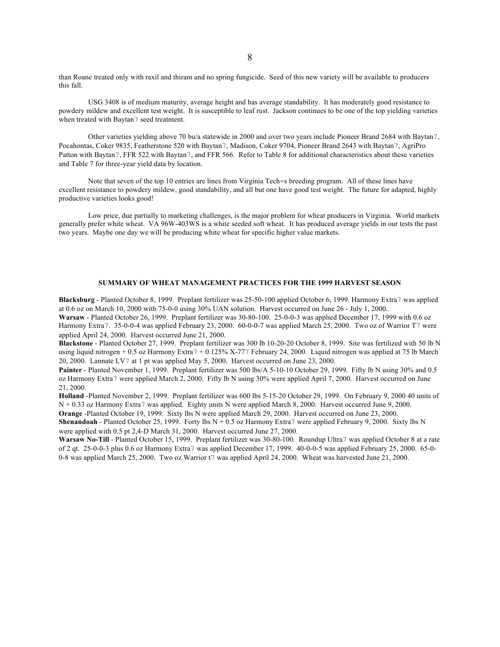than Roane treated only with raxil and thiram and no spring fungicide. Seed of this new variety will be available to producers this fall.

USG 3408 is of medium maturity, average height and has average standability. It has moderately good resistance to powdery mildew and excellent test weight. It is susceptible to leaf rust. Jackson continues to be one of the top yielding varieties when treated with Baytan7 seed treatment.

Other varieties yielding above 70 bu/a statewide in 2000 and over two years include Pioneer Brand 2684 with Baytan7, Pocahontas, Coker 9835, Featherstone 520 with Baytan7, Madison, Coker 9704, Pioneer Brand 2643 with Baytan7, AgriPro Patton with Baytan7, FFR 522 with Baytan7, and FFR 566. Refer to Table 8 for additional characteristics about these varieties and Table 7 for three-year yield data by location.

Note that seven of the top 10 entries are lines from Virginia Tech=s breeding program. All of these lines have excellent resistance to powdery mildew, good standability, and all but one have good test weight. The future for adapted, highly productive varieties looks good!

Low price, due partially to marketing challenges, is the major problem for wheat producers in Virginia. World markets generally prefer white wheat. VA 96W-403WS is a white seeded soft wheat. It has produced average yields in our tests the past two years. Maybe one day we will be producing white wheat for specific higher value markets.

# **SUMMARY OF WHEAT MANAGEMENT PRACTICES FOR THE 1999 HARVEST SEASON**

**Blacksburg** - Planted October 8, 1999. Preplant fertilizer was 25-50-100 applied October 6, 1999. Harmony Extra7 was applied at 0.6 oz on March 10, 2000 with 75-0-0 using 30% UAN solution. Harvest occurred on June 26 - July 1, 2000.. **Warsaw** - Planted October 26, 1999. Preplant fertilizer was 30-80-100. 25-0-0-3 was applied December 17, 1999 with 0.6 oz Harmony Extra7. 35-0-0-4 was applied February 23, 2000. 60-0-0-7 was applied March 25, 2000. Two oz of Warrior T7 were applied April 24, 2000. Harvest occurred June 21, 2000.

**Blackstone** - Planted October 27, 1999. Preplant fertilizer was 300 lb 10-20-20 October 8, 1999. Site was fertilized with 50 lb N using liquid nitrogen + 0.5 oz Harmony Extra7 + 0.125% X-777 February 24, 2000. Liquid nitrogen was applied at 75 lb March 20, 2000. Lannate LV7 at 1 pt was applied May 5, 2000. Harvest occurred on June 23, 2000.

Painter - Planted November 1, 1999. Preplant fertilizer was 500 lbs/A 5-10-10 October 29, 1999. Fifty lb N using 30% and 0.5 oz Harmony Extra7 were applied March 2, 2000. Fifty lb N using 30% were applied April 7, 2000. Harvest occurred on June 21, 2000.

**Holland** -Planted November 2, 1999. Preplant fertilizer was 600 lbs 5-15-20 October 29, 1999. On February 9, 2000 40 units of N + 0.33 oz Harmony Extra7 was applied. Eighty units N were applied March 8, 2000. Harvest occurred June 9, 2000.

**Orange** -Planted October 19, 1999. Sixty lbs N were applied March 29, 2000. Harvest occurred on June 23, 2000. **Shenandoah** - Planted October 25, 1999. Forty lbs N + 0.5 oz Harmony Extra7 were applied February 9, 2000. Sixty lbs N were applied with 0.5 pt 2,4-D March 31, 2000. Harvest occurred June 27, 2000.

**Warsaw No-Till** - Planted October 15, 1999. Preplant fertilizer was 30-80-100. Roundup Ultra7 was applied October 8 at a rate of 2 qt. 25-0-0-3 plus 0.6 oz Harmony Extra7 was applied December 17, 1999. 40-0-0-5 was applied February 25, 2000. 65-0- 0-8 was applied March 25, 2000. Two oz Warrior t7 was applied April 24, 2000. Wheat was harvested June 21, 2000.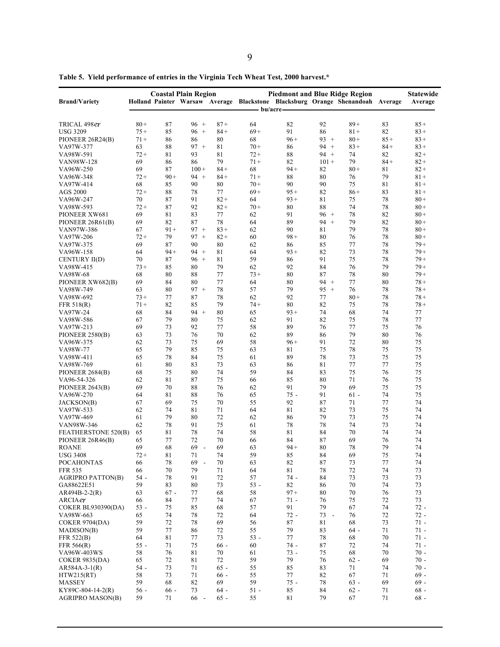|                              |          |          | <b>Coastal Plain Region</b> |          |            | <b>Piedmont and Blue Ridge Region</b> |              |                                                                                |          | <b>Statewide</b> |
|------------------------------|----------|----------|-----------------------------|----------|------------|---------------------------------------|--------------|--------------------------------------------------------------------------------|----------|------------------|
| <b>Brand/Variety</b>         |          |          |                             |          |            |                                       |              | Holland Painter Warsaw Average Blackstone Blacksburg Orange Shenandoah Average |          | Average          |
|                              |          |          |                             |          | – bu/acre– |                                       |              |                                                                                |          |                  |
| TRICAL 498er                 | $80+$    | 87       | $96 +$                      | $87+$    | 64         | 82                                    | 92           | $89+$                                                                          | 83       | $85+$            |
| <b>USG 3209</b>              | $75+$    | 85       | $96 +$                      | $84+$    | $69+$      | 91                                    | 86           | $81 +$                                                                         | 82       | $83+$            |
| PIONEER 26R24(B)             | $71+$    | 86       | 86                          | 80       | 68         | $96+$                                 | $93 +$       | $80+$                                                                          | $85 +$   | $83+$            |
| VA97W-377                    | 63       | 88       | $97 +$                      | 81       | $70+$      | 86                                    | $94 +$       | $83+$                                                                          | $84 +$   | $83+$            |
| VA98W-591                    | $72+$    | 81       | 93                          | 81       | $72+$      | 88                                    | $94 +$       | 74                                                                             | 82       | $82+$            |
| VAN98W-128                   | 69       | 86       | 86                          | 79       | $71+$      | 82                                    | $101 +$      | 79                                                                             | $84+$    | $82+$            |
| VA96W-250                    | 69       | 87       | $100 +$                     | $84 +$   | 68         | $94 +$                                | 82           | $80 +$                                                                         | 81       | $82+$            |
| VA96W-348                    | $72+$    | $90+$    | $94 +$                      | $84+$    | $71+$      | 88                                    | 80           | 76                                                                             | 79       | $81 +$           |
| VA97W-414                    | 68       | 85       | 90                          | 80       | $70+$      | 90                                    | 90           | 75                                                                             | 81       | $81 +$           |
| <b>AGS 2000</b>              | $72+$    | 88       | 78                          | 77       | $69+$      | $95+$                                 | 82           | $86+$                                                                          | 83       | $81 +$           |
| VA96W-247                    | 70       | 87       | 91                          | $82+$    | 64         | $93+$                                 | 81           | 75                                                                             | 78       | $80+$            |
| VA98W-593                    | $72+$    | 87       | 92                          | $82+$    | $70+$      | 80                                    | 88           | 74                                                                             | 78       | $80 +$           |
| PIONEER XW681                | 69       | 81       | 83                          | 77       | 62         | 91                                    | $96 +$       | 78                                                                             | 82       | $80+$            |
| PIONEER 26R61(B)             | 69       | 82       | 87                          | 78       | 64         | 89                                    | $94 +$       | 79                                                                             | 82       | $80+$            |
| VAN97W-386                   | 67       | $91 +$   | $97 +$                      | $83+$    | 62         | 90                                    | 81           | 79                                                                             | 78       | $80 +$           |
| VA97W-206                    | $72+$    | 79       | $97 +$                      | $82 +$   | 60         | $98+$                                 | 80           | 76                                                                             | 78       | $80+$            |
| VA97W-375                    | 69       | 87       | 90                          | 80       | 62         | 86                                    | 85           | 77                                                                             | 78       | $79+$            |
| VA96W-158                    | 64       | $94 +$   | $94 +$                      | 81       | 64         | $93+$                                 | 82           | 73                                                                             | 78       | $79+$            |
| CENTURY II(D)                | 70       | 87       | $96 +$                      | 81       | 59         | 86                                    | 91           | 75                                                                             | 78       | $79+$            |
| VA98W-415                    | $73+$    | 85       | 80                          | 79       | 62         | 92                                    | 84           | 76                                                                             | 79       | $79+$            |
| VA98W-68                     | 68       | 80       | 88                          | 77       | $73+$      | 80                                    | 87           | 78                                                                             | 80       | $79+$            |
| PIONEER XW682(B)             | 69       | 84       | 80                          | 77       | 64         | 80                                    | $94 +$       | 77                                                                             | 80       | $78 +$           |
| VA98W-749                    | 63       | 80       | $97 +$                      | 78       | 57         | 79                                    | $95 +$       | 76                                                                             | 78       | $78+$            |
| VA98W-692                    | $73+$    | 77       | 87                          | 78       | 62         | 92                                    | 77           | $80 +$                                                                         | 78       | $78+$            |
| FFR 518(R)                   | $71+$    | 82       | 85                          | 79       | $74+$      | 80                                    | 82           | 75                                                                             | 78       | $78 +$           |
|                              | 68       | 84       | $94 +$                      | 80       | 65         | $93+$                                 | 74           | 68                                                                             | 74       | 77               |
| VA97W-24                     |          | 79       | 80                          | 75       | 62         | 91                                    | 82           | 75                                                                             | 78       | 77               |
| VA98W-586                    | 67<br>69 | 73       | 92                          | 77       | 58         | 89                                    | 76           | 77                                                                             | 75       | 76               |
| VA97W-213                    |          | 73       | 76                          | 70       | 62         | 89                                    | 86           | 79                                                                             | 80       | 76               |
| PIONEER 2580(B)<br>VA96W-375 | 63<br>62 | 73       | 75                          | 69       | 58         | $96+$                                 | 91           | 72                                                                             | 80       | 75               |
|                              | 65       | 79       | 85                          | 75       | 63         | 81                                    | 75           | 78                                                                             | 75       | 75               |
| VA98W-77                     |          |          |                             |          |            |                                       |              |                                                                                |          |                  |
| VA98W-411                    | 65       | 78<br>80 | 84                          | 75       | 61         | 89                                    | 78           | 73                                                                             | 75       | 75               |
| VA98W-769                    | 61       | 75       | 83                          | 73       | 63         | 86                                    | 81           | 77<br>75                                                                       | 77       | 75               |
| PIONEER 2684(B)              | 68       | 81       | 80<br>87                    | 74<br>75 | 59         | 84<br>85                              | 83           | 71                                                                             | 76<br>76 | 75<br>75         |
| VA96-54-326                  | 62       |          |                             |          | 66         | 91                                    | 80<br>79     | 69                                                                             | 75       |                  |
| PIONEER 2643(B)              | 69       | 70       | 88                          | 76       | 62         | $75 -$                                |              |                                                                                | 74       | 75               |
| VA96W-270                    | 64       | 81       | 88                          | 76       | 65         |                                       | 91           | $61 -$                                                                         |          | 75               |
| JACKSON(B)                   | 67       | 69       | 75                          | 70       | 55         | 92                                    | 87           | 71                                                                             | 77       | 74               |
| VA97W-533                    | 62       | 74       | 81                          | 71       | 64         | 81                                    | 82           | 73                                                                             | 75       | 74               |
| VA97W-469                    | 61       | 79       | 80                          | 72       | 62         | 86                                    | 79           | 73                                                                             | 75       | 74               |
| VAN98W-346                   | 62       | 78       | 91                          | 75       | 61         | 78                                    | 78           | 74                                                                             | 73       | 74               |
| FEATHERSTONE 520(B)          | 65       | 81       | 78                          | 74       | 58         | 81                                    | 84           | 70                                                                             | 74       | 74               |
| PIONEER 26R46(B)             | 65       | 77       | 72                          | 70       | 66         | 84                                    | 87           | 69                                                                             | 76       | 74               |
| <b>ROANE</b>                 | 69       | 68       | 69<br>$\sim$                | 69       | 63         | $94+$                                 | 80           | 78                                                                             | 79       | 74               |
| <b>USG 3408</b>              | 72+      | 81       | 71                          | 74       | 59         | 85                                    | 84           | 69                                                                             | 75       | 74               |
| <b>POCAHONTAS</b>            | 66       | 78       | 69<br>$\sim$                | 70       | 63         | 82                                    | 87           | 73                                                                             | 77       | 74               |
| <b>FFR 535</b>               | 66       | 70       | 79                          | 71       | 64         | 81                                    | 78           | 72                                                                             | 74       | 73               |
| <b>AGRIPRO PATTON(B)</b>     | $54 -$   | 78       | 91                          | 72       | 57         | 74 -                                  | 84           | 73                                                                             | 73       | 73               |
| GA88622E51                   | 59       | 83       | 80                          | 73       | $53 -$     | 82                                    | 86           | 70                                                                             | 74       | 73               |
| $AR494B-2-2(R)$              | 63       | $67 -$   | 77                          | 68       | 58         | $97+$                                 | 80           | 70                                                                             | 76       | 73               |
| ARCIAer                      | 66       | 84       | 77                          | 74       | 67         | $71 -$                                | 76           | 75                                                                             | 72       | 73               |
| <b>COKER BL930390(DA)</b>    | $53 -$   | 75       | 85                          | 68       | 57         | 91                                    | 79           | 67                                                                             | 74       | $72 -$           |
| VA98W-663                    | 65       | 74       | 78                          | 72       | 64         | $72 -$                                | 73<br>$\sim$ | 76                                                                             | 72       | $72 -$           |
| <b>COKER 9704(DA)</b>        | 59       | 72       | 78                          | 69       | 56         | 87                                    | 81           | 68                                                                             | 73       | $71 -$           |
| MADISON(B)                   | 59       | 77       | 86                          | 72       | 55         | 79                                    | 83           | $64-$                                                                          | 71       | $71 -$           |
| FFR 522(B)                   | 64       | 81       | 77                          | 73       | $53 -$     | 77                                    | 78           | 68                                                                             | 70       | $71 -$           |
| FFR 566(R)                   | $55 -$   | 71       | 75                          | $66 -$   | 60         | 74 -                                  | 87           | 72                                                                             | 74       | $71 -$           |
| VA96W-403WS                  | 58       | 76       | 81                          | 70       | 61         | $73 -$                                | 75           | 68                                                                             | 70       | $70 -$           |
| <b>COKER 9835(DA)</b>        | 65       | 72       | 81                          | 72       | 59         | 79                                    | 76           | $62 -$                                                                         | 69       | $70 -$           |
| $AR584A-3-1(R)$              | $54 -$   | 73       | 71                          | $65 -$   | 55         | 85                                    | 83           | 71                                                                             | 74       | $70 -$           |
| HTW215(RT)                   | 58       | 73       | 71                          | $66 -$   | 55         | 77                                    | 82           | 67                                                                             | 71       | $69 -$           |
| <b>MASSEY</b>                | 59       | 68       | 82                          | 69       | 59         | $75 -$                                | 78           | $63 -$                                                                         | 69       | $69 -$           |
| KY89C-804-14-2(R)            | $56 -$   | $66 -$   | 73                          | $64 -$   | $51 -$     | 85                                    | 84           | $62 -$                                                                         | 71       | $68 -$           |
| <b>AGRIPRO MASON(B)</b>      | 59       | 71       | 66 -                        | $65 -$   | 55         | 81                                    | 79           | 67                                                                             | 71       | $68 -$           |

**Table 5. Yield performance of entries in the Virginia Tech Wheat Test, 2000 harvest.\***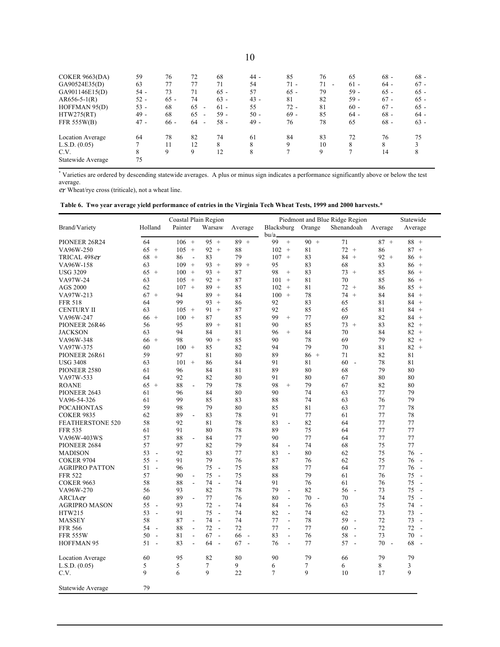| COKER $9663(DA)$  | 59     | 76     | 72                             | 68     | 44 -   | 85     | 76                             | 65     | $68 -$ | $68 -$ |
|-------------------|--------|--------|--------------------------------|--------|--------|--------|--------------------------------|--------|--------|--------|
| GA90524E35(D)     | 63     | 77     | 77                             | 71     | 54     | $71 -$ | 71<br>$\overline{\phantom{a}}$ | $61 -$ | $64 -$ | $67 -$ |
| GA901146E15(D)    | $54 -$ | 73     | 71                             | $65 -$ | 57     | $65 -$ | 79                             | 59 -   | $65 -$ | $65 -$ |
| $AR656-5-1(R)$    | $52 -$ | $65 -$ | 74                             | $63 -$ | $43 -$ | 81     | 82                             | 59 -   | $67 -$ | $65 -$ |
| HOFFMAN 95(D)     | $53 -$ | 68     | 65<br>$\overline{\phantom{a}}$ | $61 -$ | 55     | $72 -$ | 81                             | $60 -$ | $67 -$ | $65 -$ |
| HTW275(RT)        | $49 -$ | 68     | 65<br>۰                        | $59 -$ | $50 -$ | $69 -$ | 85                             | $64 -$ | $68 -$ | $64 -$ |
| FFR 555W(B)       | $47 -$ | $66 -$ | 64<br>$\overline{\phantom{a}}$ | $58 -$ | $49 -$ | 76     | 78                             | 65     | $68 -$ | $63 -$ |
| Location Average  | 64     | 78     | 82                             | 74     | 61     | 84     | 83                             | 72     | 76     | 75     |
| L.S.D. (0.05)     | 7      | 11     | 12                             | 8      | 8      | 9      | 10                             | 8      | 8      |        |
| C.V.              | 8      | 9      | 9                              | 12     | 8      |        | 9                              |        | 14     | 8      |
| Statewide Average | 75     |        |                                |        |        |        |                                |        |        |        |

\* Varieties are ordered by descending statewide averages. A plus or minus sign indicates a performance significantly above or below the test average.

ex Wheat/rye cross (triticale), not a wheat line.

| Table 6. Two year average yield performance of entries in the Virginia Tech Wheat Tests, 1999 and 2000 harvests.* |  |
|-------------------------------------------------------------------------------------------------------------------|--|
|                                                                                                                   |  |

|                         |                                | Coastal Plain Region           |                                |                                |                                |                      | Piedmont and Blue Ridge Region |              | Statewide                      |
|-------------------------|--------------------------------|--------------------------------|--------------------------------|--------------------------------|--------------------------------|----------------------|--------------------------------|--------------|--------------------------------|
| Brand/Variety           | Holland                        | Painter                        | Warsaw                         | Average                        | Blacksburg Orange              |                      | Shenandoah                     | Average      | Average                        |
|                         |                                |                                |                                |                                | bu/a.                          |                      |                                |              |                                |
| PIONEER 26R24           | 64                             | $106 +$                        | 95<br>$+$                      | $89 +$                         | $^{+}$<br>99                   | $90 +$               | 71                             | $87 +$       | $88 +$                         |
| VA96W-250               | 65<br>$+$                      | 105<br>$+$                     | $92 +$                         | 88                             | 102<br>$+$                     | 81                   | $72 +$                         | 86           | 87<br>$+$                      |
| TRICAL 498er            | 68<br>$^{+}$                   | 86<br>$\overline{\phantom{a}}$ | 83                             | 79                             | 107<br>$+$                     | 83                   | $84 +$                         | $92 +$       | 86<br>$+$                      |
| VA96W-158               | 63                             | 109<br>$+$                     | $93 +$                         | 89<br>$+$                      | 95                             | 83                   | 68                             | 83           | 86<br>$+$                      |
| <b>USG 3209</b>         | 65<br>$+$                      | 100<br>$+$                     | 93<br>$+$                      | 87                             | 98<br>$^{+}$                   | 83                   | 73<br>$+$                      | 85           | 86<br>$+$                      |
| VA97W-24                | 63                             | 105<br>$+$                     | $92 +$                         | 87                             | 101<br>$+$                     | 81                   | 70                             | 85           | 86<br>$+$                      |
| <b>AGS 2000</b>         | 62                             | 107<br>$+$                     | 89<br>$+$                      | 85                             | 102<br>$^{+}$                  | 81                   | $72 +$                         | 86           | 85<br>$+$                      |
| VA97W-213               | $67 +$                         | 94                             | 89<br>$+$                      | 84                             | 100<br>$+$                     | 78                   | $74 +$                         | 84           | 84<br>$+$                      |
| <b>FFR 518</b>          | 64                             | 99                             | 93<br>$+$                      | 86                             | 92                             | 83                   | 65                             | 81           | 84<br>$^{+}$                   |
| <b>CENTURY II</b>       | 63                             | 105<br>$+$                     | $91 +$                         | 87                             | 92                             | 85                   | 65                             | 81           | 84<br>$+$                      |
| VA96W-247               | $66 +$                         | $+$<br>100                     | 87                             | 85                             | 99<br>$^{+}$                   | 77                   | 69                             | 82           | 84<br>$^{+}$                   |
| PIONEER 26R46           | 56                             | 95                             | $89 +$                         | 81                             | 90                             | 85                   | $73 +$                         | 83           | 82<br>$+$                      |
| <b>JACKSON</b>          | 63                             | 94                             | 84                             | 81                             | 96<br>$^{+}$                   | 84                   | 70                             | 84           | 82<br>$^{+}$                   |
| VA96W-348               | $66 +$                         | 98                             | $90 +$                         | 85                             | 90                             | 78                   | 69                             | 79           | $82 +$                         |
| VA97W-375               | 60                             | 100<br>$+$                     | 85                             | 82                             | 94                             | 79                   | 70                             | 81           | 82<br>$\qquad \qquad +$        |
| PIONEER 26R61           | 59                             | 97                             | 81                             | 80                             | 89                             | $86 +$               | 71                             | 82           | 81                             |
| <b>USG 3408</b>         | 63                             | 101<br>$+$                     | 86                             | 84                             | 91                             | 81                   | 60<br>$\overline{\phantom{a}}$ | 78           | 81                             |
| PIONEER 2580            | 61                             | 96                             | 84                             | 81                             | 89                             | 80                   | 68                             | 79           | 80                             |
| VA97W-533               | 64                             | 92                             | 82                             | 80                             | 91                             | 80                   | 67                             | 80           | 80                             |
| <b>ROANE</b>            | $65 +$                         | 88<br>$\overline{a}$           | 79                             | 78                             | 98<br>$^{+}$                   | 79                   | 67                             | 82           | 80                             |
| PIONEER 2643            | 61                             | 96                             | 84                             | 80                             | 90                             | 74                   | 63                             | 77           | 79                             |
| VA96-54-326             | 61                             | 99                             | 85                             | 83                             | 88                             | 74                   | 63                             | 76           | 79                             |
| <b>POCAHONTAS</b>       | 59                             | 98                             | 79                             | 80                             | 85                             | 81                   | 63                             | 77           | 78                             |
| <b>COKER 9835</b>       | 62                             | 89<br>$\overline{a}$           | 83                             | 78                             | 91                             | 77                   | 61                             | 77           | 78                             |
| <b>FEATHERSTONE 520</b> | 58                             | 92                             | 81                             | 78                             | 83<br>$\overline{\phantom{a}}$ | 82                   | 64                             | 77           | 77                             |
| <b>FFR 535</b>          | 61                             | 91                             | 80                             | 78                             | 89                             | 75                   | 64                             | 77           | 77                             |
| VA96W-403WS             | 57                             | 88<br>$\overline{a}$           | 84                             | 77                             | 90                             | 77                   | 64                             | 77           | 77                             |
| PIONEER 2684            | 57                             | 97                             | 82                             | 79                             | 84<br>$\overline{\phantom{a}}$ | 74                   | 68                             | 75           | 77                             |
| <b>MADISON</b>          | 53<br>$\sim$                   | 92                             | 83                             | 77                             | 83<br>$\overline{\phantom{a}}$ | 80                   | 62                             | 75           | 76<br>$\overline{\phantom{a}}$ |
| <b>COKER 9704</b>       | 55<br>$\overline{a}$           | 91                             | 79                             | 76                             | 87                             | 76                   | 62                             | 75           | 76<br>$\overline{\phantom{a}}$ |
| <b>AGRIPRO PATTON</b>   | 51<br>$\overline{\phantom{a}}$ | 96                             | 75<br>$\sim$                   | 75                             | 88                             | 77                   | 64                             | 77           | 76<br>$\overline{\phantom{a}}$ |
| <b>FFR 522</b>          | 57                             | 90<br>$\overline{\phantom{a}}$ | 75<br>$\sim$                   | 75                             | 88                             | 79                   | 61                             | 76           | 75<br>$\overline{\phantom{a}}$ |
| <b>COKER 9663</b>       | 58                             | 88<br>$\blacksquare$           | 74<br>$\sim$                   | 74                             | 91                             | 76                   | 61                             | 76           | 75<br>$\overline{\phantom{a}}$ |
| VA96W-270               | 56                             | 93                             | 82                             | 78                             | 79<br>$\overline{a}$           | 82                   | 56<br>$\overline{\phantom{a}}$ | 73           | 75<br>$\sim$                   |
| ARCIAer                 | 60                             | 89<br>$\overline{a}$           | 77                             | 76                             | 80<br>$\overline{\phantom{a}}$ | 70<br>$\blacksquare$ | 70                             | 74           | 75<br>$\overline{\phantom{a}}$ |
| <b>AGRIPRO MASON</b>    | 55<br>$\sim$                   | 93                             | 72<br>$\sim$                   | 74                             | 84<br>$\overline{a}$           | 76                   | 63                             | 75           | 74<br>$\overline{\phantom{a}}$ |
| HTW215                  | 53<br>$\sim$                   | 91                             | 75<br>$\sim$                   | 74                             | 82<br>$\overline{a}$           | 74                   | 62                             | 73           | 73<br>$\sim$                   |
| <b>MASSEY</b>           | 58                             | 87<br>$\blacksquare$           | 74<br>$\sim$                   | 74                             | 77<br>$\overline{a}$           | 78                   | 59<br>$\sim$                   | 72           | 73<br>$\overline{\phantom{a}}$ |
| <b>FFR 566</b>          | 54<br>$\sim$                   | 88<br>$\overline{\phantom{a}}$ | 72<br>$\overline{\phantom{a}}$ | 72                             | 77<br>$\overline{\phantom{a}}$ | 77                   | 60<br>$\overline{\phantom{a}}$ | 72           | 72<br>$\overline{\phantom{a}}$ |
| <b>FFR 555W</b>         | 50<br>$\sim$                   | 81<br>$\frac{1}{2}$            | 67<br>$\sim$                   | 66<br>$\overline{\phantom{a}}$ | 83<br>÷,                       | 76                   | 58<br>$\overline{\phantom{a}}$ | 73           | 70<br>$\sim$                   |
| <b>HOFFMAN 95</b>       | 51<br>$\sim$                   | 83<br>$\blacksquare$           | 64<br>$\sim$                   | 67<br>$\sim$                   | 76<br>$\overline{a}$           | 77                   | 57<br>$\sim$                   | 70<br>$\sim$ | 68<br>$\sim$                   |
|                         |                                |                                |                                |                                |                                |                      |                                |              |                                |
| <b>Location Average</b> | 60                             | 95                             | 82                             | 80                             | 90                             | 79                   | 66                             | 79           | 79                             |
| L.S.D. (0.05)           | 5                              | 5                              | $\tau$                         | 9                              | 6                              | 7                    | 6                              | 8            | 3                              |
| C.V.                    | 9                              | 6                              | 9                              | 22                             | $\tau$                         | 9                    | 10                             | 17           | 9                              |
|                         |                                |                                |                                |                                |                                |                      |                                |              |                                |
| Statewide Average       | 79                             |                                |                                |                                |                                |                      |                                |              |                                |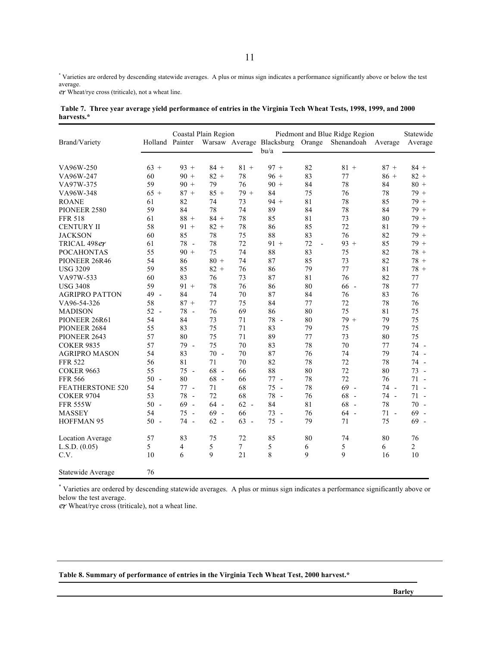\* Varieties are ordered by descending statewide averages. A plus or minus sign indicates a performance significantly above or below the test average.

Wheat/rye cross (triticale), not a wheat line.

|            |  | Table 7. Three year average yield performance of entries in the Virginia Tech Wheat Tests, 1998, 1999, and 2000 |  |  |  |  |  |
|------------|--|-----------------------------------------------------------------------------------------------------------------|--|--|--|--|--|
| harvests.* |  |                                                                                                                 |  |  |  |  |  |

| Brand/Variety            | Holland Painter |        | Coastal Plain Region |                | bu/a   |                     | Piedmont and Blue Ridge Region<br>Warsaw Average Blacksburg Orange Shenandoah Average |        | Statewide<br>Average |
|--------------------------|-----------------|--------|----------------------|----------------|--------|---------------------|---------------------------------------------------------------------------------------|--------|----------------------|
|                          |                 |        |                      |                |        |                     |                                                                                       |        |                      |
| VA96W-250                | $63 +$          | $93 +$ | $84 +$               | $81 +$         | $97 +$ | 82                  | $81 +$                                                                                | $87 +$ | $84 +$               |
| VA96W-247                | 60              | $90 +$ | $82 +$               | 78             | $96 +$ | 83                  | 77                                                                                    | $86 +$ | $82 +$               |
| VA97W-375                | 59              | $90 +$ | 79                   | 76             | $90 +$ | 84                  | 78                                                                                    | 84     | $80 +$               |
| VA96W-348                | $65 +$          | $87 +$ | $85 +$               | $79+$          | 84     | 75                  | 76                                                                                    | 78     | $79 +$               |
| <b>ROANE</b>             | 61              | 82     | 74                   | 73             | $94 +$ | 81                  | 78                                                                                    | 85     | $79 +$               |
| PIONEER 2580             | 59              | 84     | 78                   | 74             | 89     | 84                  | 78                                                                                    | 84     | $79 +$               |
| <b>FFR 518</b>           | 61              | $88 +$ | $84 +$               | 78             | 85     | 81                  | 73                                                                                    | 80     | $79 +$               |
| <b>CENTURY II</b>        | 58              | $91 +$ | $82 +$               | 78             | 86     | 85                  | 72                                                                                    | 81     | $79 +$               |
| <b>JACKSON</b>           | 60              | 85     | 78                   | 75             | 88     | 83                  | 76                                                                                    | 82     | $79 +$               |
| TRICAL 498er             | 61              | 78 -   | 78                   | 72             | $91 +$ | 72<br>$\frac{1}{2}$ | $93 +$                                                                                | 85     | $79 +$               |
| <b>POCAHONTAS</b>        | 55              | $90 +$ | 75                   | 74             | 88     | 83                  | 75                                                                                    | 82     | $78 +$               |
| PIONEER 26R46            | 54              | 86     | $80 +$               | 74             | 87     | 85                  | 73                                                                                    | 82     | $78 +$               |
| <b>USG 3209</b>          | 59              | 85     | $82 +$               | 76             | 86     | 79                  | 77                                                                                    | 81     | $78 +$               |
| VA97W-533                | 60              | 83     | 76                   | 73             | 87     | 81                  | 76                                                                                    | 82     | 77                   |
| <b>USG 3408</b>          | 59              | $91 +$ | 78                   | 76             | 86     | 80                  | $66 -$                                                                                | 78     | 77                   |
| <b>AGRIPRO PATTON</b>    | 49 -            | 84     | 74                   | 70             | 87     | 84                  | 76                                                                                    | 83     | 76                   |
| VA96-54-326              | 58              | $87 +$ | 77                   | 75             | 84     | 77                  | 72                                                                                    | 78     | 76                   |
| <b>MADISON</b>           | $52 -$          | 78 -   | 76                   | 69             | 86     | 80                  | 75                                                                                    | 81     | 75                   |
| PIONEER 26R61            | 54              | 84     | 73                   | 71             | 78 -   | 80                  | $79 +$                                                                                | 79     | 75                   |
| PIONEER 2684             | 55              | 83     | 75                   | 71             | 83     | 79                  | 75                                                                                    | 79     | 75                   |
| PIONEER 2643             | 57              | 80     | 75                   | 71             | 89     | 77                  | 73                                                                                    | 80     | 75                   |
| <b>COKER 9835</b>        | 57              | 79 -   | 75                   | 70             | 83     | 78                  | 70                                                                                    | 77     | 74 -                 |
| <b>AGRIPRO MASON</b>     | 54              | 83     | $70 -$               | 70             | 87     | 76                  | 74                                                                                    | 79     | 74 -                 |
| <b>FFR 522</b>           | 56              | 81     | 71                   | 70             | 82     | 78                  | 72                                                                                    | 78     | 74 -                 |
| <b>COKER 9663</b>        | 55              | $75 -$ | $68 -$               | 66             | 88     | 80                  | 72                                                                                    | 80     | $73 -$               |
| <b>FFR 566</b>           | $50 -$          | 80     | $68 -$               | 66             | $77 -$ | 78                  | 72                                                                                    | 76     | $71 -$               |
| <b>FEATHERSTONE 520</b>  | 54              | $77 -$ | 71                   | 68             | $75 -$ | 78                  | $69 -$                                                                                | 74 -   | $71 -$               |
| <b>COKER 9704</b>        | 53              | 78 -   | 72                   | 68             | 78 -   | 76                  | $68 -$                                                                                | 74 -   | $71 -$               |
| <b>FFR 555W</b>          | $50 -$          | $69 -$ | $64 -$               | $62 -$         | 84     | 81                  | $68 -$                                                                                | 78     | $70 -$               |
| <b>MASSEY</b>            | 54              | $75 -$ | $69 -$               | 66             | 73 -   | 76                  | $64 -$                                                                                | $71 -$ | 69 -                 |
| <b>HOFFMAN 95</b>        | $50 -$          | 74 -   | $62 -$               | $63 -$         | $75 -$ | 79                  | 71                                                                                    | 75     | $69 -$               |
|                          |                 |        |                      |                |        |                     |                                                                                       |        |                      |
| Location Average         | 57              | 83     | 75                   | 72             | 85     | 80                  | 74                                                                                    | 80     | 76                   |
| L.S.D. (0.05)            | 5               | 4      | 5                    | $\overline{7}$ | 5      | 6                   | 5                                                                                     | 6      | $\overline{2}$       |
| C.V.                     | 10              | 6      | 9                    | 21             | 8      | 9                   | 9                                                                                     | 16     | 10                   |
| <b>Statewide Average</b> | 76              |        |                      |                |        |                     |                                                                                       |        |                      |

\* Varieties are ordered by descending statewide averages. A plus or minus sign indicates a performance significantly above or below the test average.

Wheat/rye cross (triticale), not a wheat line.

# **Table 8. Summary of performance of entries in the Virginia Tech Wheat Test, 2000 harvest.\***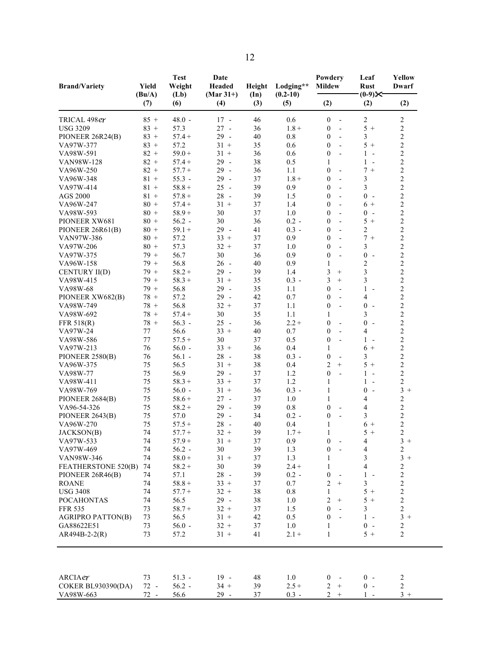| <b>Brand/Variety</b>     | Yield<br>(Bu/A) | <b>Test</b><br>Weight<br>(Lb) | Date<br>Headed<br>$(Mar 31+)$ | Height<br>$(\text{In})$ | Lodging**<br>$(0.2-10)$ | Powdery<br><b>Mildew</b>                     | Leaf<br><b>Rust</b><br>$(0-9)$ ×             | Yellow<br><b>Dwarf</b>  |
|--------------------------|-----------------|-------------------------------|-------------------------------|-------------------------|-------------------------|----------------------------------------------|----------------------------------------------|-------------------------|
|                          | (7)             | (6)                           | (4)                           | (3)                     | (5)                     | (2)                                          | (2)                                          | (2)                     |
| TRICAL 498er             | $85 +$          | $48.0 -$                      | $17 -$                        | 46                      | 0.6                     | $\bf{0}$<br>$\overline{\phantom{a}}$         | $\sqrt{2}$                                   | $\boldsymbol{2}$        |
| <b>USG 3209</b>          | $83 +$          | 57.3                          | $27 -$                        | 36                      | $1.8 +$                 | $\bf{0}$<br>$\blacksquare$                   | $5+$                                         | $\boldsymbol{2}$        |
| PIONEER 26R24(B)         | $83 +$          | $57.4+$                       | $29 -$                        | 40                      | 0.8                     | $\boldsymbol{0}$<br>$\overline{a}$           | 3                                            | $\overline{2}$          |
| VA97W-377                | $83 +$          | 57.2                          | $31 +$                        | 35                      | 0.6                     | $\boldsymbol{0}$<br>$\overline{\phantom{a}}$ | $5+$                                         | $\overline{c}$          |
| VA98W-591                | $82 +$          | $59.0 +$                      | $31 +$                        | 36                      | 0.6                     | $\overline{0}$<br>$\overline{a}$             | $1 -$                                        | $\overline{c}$          |
| VAN98W-128               | $82 +$          | $57.4+$                       | $29 -$                        | 38                      | 0.5                     | $\mathbf{1}$                                 | $1 -$                                        | $\overline{c}$          |
| VA96W-250                | $82 +$          | $57.7 +$                      | $29 -$                        | 36                      | 1.1                     | $\overline{0}$                               | $7 +$                                        | $\overline{c}$          |
| VA96W-348                | $81 +$          | $55.3 -$                      | $29 -$                        | 37                      | $1.8 +$                 | $\boldsymbol{0}$<br>$\blacksquare$           | $\overline{\mathbf{3}}$                      | $\overline{c}$          |
| VA97W-414                | $81 +$          | $58.8 +$                      | $25 -$                        | 39                      | 0.9                     | $\overline{0}$<br>$\blacksquare$             | $\overline{3}$                               | $\overline{c}$          |
| <b>AGS 2000</b>          | $81 +$          | $57.8 +$                      | $28 -$                        | 39                      | 1.5                     | $\boldsymbol{0}$<br>$\blacksquare$           | $0 -$                                        | $\overline{c}$          |
| VA96W-247                | $80 +$          | $57.4+$                       | $31 +$                        | 37                      | 1.4                     | $\overline{0}$<br>$\overline{a}$             | $6+$                                         |                         |
|                          |                 |                               |                               |                         |                         |                                              |                                              | $\frac{2}{2}$           |
| VA98W-593                | $80 +$          | $58.9 +$                      | 30                            | 37                      | 1.0                     | $\overline{0}$<br>$\blacksquare$             | $0 -$                                        |                         |
| PIONEER XW681            | $80 +$          | $56.2 -$                      | 30                            | 36                      | $0.2 -$                 | $\boldsymbol{0}$<br>$\blacksquare$           | $5+$                                         | $\sqrt{2}$              |
| PIONEER 26R61(B)         | $80 +$          | $59.1 +$                      | $29 -$                        | 41                      | $0.3 -$                 | $\boldsymbol{0}$<br>$\overline{\phantom{a}}$ | $\overline{c}$                               | $\overline{c}$          |
| VAN97W-386               | $80 +$          | 57.2                          | $33 +$                        | 37                      | 0.9                     | $\overline{0}$<br>$\overline{a}$             | $7 +$                                        | $\overline{c}$          |
| VA97W-206                | $80 +$          | 57.3                          | $32 +$                        | 37                      | 1.0                     | $\overline{0}$<br>$\overline{a}$             | 3                                            | $\overline{c}$          |
| VA97W-375                | $79+$           | 56.7                          | 30                            | 36                      | 0.9                     | $\boldsymbol{0}$<br>$\blacksquare$           | $\boldsymbol{0}$<br>$\sim$                   | $\overline{c}$          |
| VA96W-158                | $79+$           | 56.8                          | $26 -$                        | 40                      | 0.9                     | $\mathbf{1}$                                 | $\overline{c}$                               | $\overline{\mathbf{c}}$ |
| CENTURY II(D)            | $79+$           | $58.2 +$                      | $29 -$                        | 39                      | 1.4                     | 3<br>$+$                                     | $\overline{3}$                               | $\overline{c}$          |
| VA98W-415                | $79 +$          | $58.3 +$                      | $31 +$                        | 35                      | $0.3 -$                 | 3<br>$+$                                     | $\overline{3}$                               | $\overline{c}$          |
| VA98W-68                 | $79+$           | 56.8                          | $29 -$                        | 35                      | 1.1                     | $\boldsymbol{0}$<br>$\blacksquare$           | $\mathbf{1}$<br>$\overline{\phantom{a}}$     | $\overline{c}$          |
| PIONEER XW682(B)         | $78 +$          | 57.2                          | $29 -$                        | 42                      | 0.7                     | $\overline{0}$<br>$\blacksquare$             | $\overline{4}$                               | $\overline{c}$          |
| VA98W-749                | $78 +$          | 56.8                          | $32 +$                        | 37                      | 1.1                     | $\overline{0}$<br>$\blacksquare$             | $\boldsymbol{0}$<br>$\overline{\phantom{a}}$ | $\overline{c}$          |
| VA98W-692                | $78 +$          | $57.4+$                       | 30                            | 35                      | 1.1                     | $\mathbf{1}$                                 | 3                                            | $\boldsymbol{2}$        |
| FFR 518(R)               | $78 +$          | $56.3 -$                      | $25 -$                        | 36                      | $2.2 +$                 | $\boldsymbol{0}$<br>$\overline{\phantom{a}}$ | $0 -$                                        | $\overline{c}$          |
| VA97W-24                 | 77              | 56.6                          | $33 +$                        | 40                      | 0.7                     | $\boldsymbol{0}$<br>$\blacksquare$           | 4                                            | $\overline{c}$          |
|                          |                 |                               |                               |                         |                         |                                              | $1 -$                                        | $\overline{c}$          |
| VA98W-586                | 77              | $57.5+$                       | 30                            | 37                      | 0.5                     | $\boldsymbol{0}$<br>$\overline{\phantom{a}}$ |                                              | $\boldsymbol{2}$        |
| VA97W-213                | 76              | $56.0 -$                      | $33 +$                        | 36                      | 0.4                     | $\mathbf{1}$                                 | $6+$                                         |                         |
| PIONEER 2580(B)          | 76              | $56.1 -$                      | $28 -$                        | 38                      | $0.3 -$                 | $\boldsymbol{0}$                             | 3                                            | $\overline{c}$          |
| VA96W-375                | 75              | 56.5                          | $31 +$                        | 38                      | 0.4                     | $\overline{c}$<br>$+$                        | $5+$                                         | $\overline{c}$          |
| VA98W-77                 | 75              | 56.9                          | $29 -$                        | 37                      | 1.2                     | $\boldsymbol{0}$<br>$\overline{\phantom{a}}$ | $1 -$                                        | $\sqrt{2}$              |
| VA98W-411                | 75              | $58.3 +$                      | $33 +$                        | 37                      | 1.2                     | $\mathbf{1}$                                 | $\mathbf{1}$<br>$\overline{\phantom{a}}$     | $\overline{2}$          |
| VA98W-769                | 75              | $56.0 -$                      | $31 +$                        | 36                      | $0.3 -$                 | $\mathbf{1}$                                 | $\mathbf{0}$<br>$\sim$                       | $3 +$                   |
| PIONEER 2684(B)          | 75              | $58.6 +$                      | $27 -$                        | 37                      | 1.0                     | $\mathbf{1}$                                 | 4                                            | $\boldsymbol{2}$        |
| VA96-54-326              | 75              | $58.2 +$                      | $29 -$                        | 39                      | 0.8                     | $\boldsymbol{0}$<br>$\blacksquare$           | $\overline{4}$                               | $\sqrt{2}$              |
| PIONEER 2643(B)          | 75              | 57.0                          | $29 -$                        | 34                      | $0.2 -$                 | $\boldsymbol{0}$<br>$\sim$                   | 3                                            | $\overline{c}$          |
| VA96W-270                | 75              | $57.5+$                       | $28 -$                        | 40                      | 0.4                     | $\mathbf{1}$                                 | $6+$                                         | $\overline{c}$          |
| JACKSON(B)               | 74              | $57.7+$                       | $32 +$                        | 39                      | $1.7 +$                 | 1                                            | $5+$                                         | $\overline{c}$          |
| VA97W-533                | 74              | $57.9 +$                      | $31 +$                        | 37                      | 0.9                     | $\boldsymbol{0}$                             | 4                                            | $3 +$                   |
| VA97W-469                | 74              | $56.2 -$                      | 30                            | 39                      | 1.3                     | $\boldsymbol{0}$<br>$\overline{\phantom{a}}$ | 4                                            | $\sqrt{2}$              |
| VAN98W-346               | 74              | $58.0 +$                      | $31 +$                        | 37                      | 1.3                     | 1                                            | 3                                            | $3 +$                   |
|                          |                 |                               |                               |                         |                         |                                              | $\overline{4}$                               |                         |
| FEATHERSTONE 520(B)      | 74              | $58.2 +$                      | 30                            | 39                      | $2.4 +$                 | $\mathbf{1}$                                 |                                              | $\overline{c}$          |
| PIONEER 26R46(B)         | 74              | 57.1                          | $28 -$                        | 39                      | $0.2 -$                 | $\boldsymbol{0}$                             | $1 -$                                        | $\sqrt{2}$              |
| <b>ROANE</b>             | 74              | $58.8 +$                      | $33 +$                        | 37                      | 0.7                     | 2<br>$^{+}$                                  | $\mathfrak{Z}$                               | $\sqrt{2}$              |
| <b>USG 3408</b>          | 74              | $57.7+$                       | $32 +$                        | 38                      | 0.8                     | 1                                            | $5+$                                         | $\sqrt{2}$              |
| <b>POCAHONTAS</b>        | 74              | 56.5                          | 29 -                          | 38                      | 1.0                     | $\overline{c}$<br>$^{+}$                     | $5+$                                         | $\sqrt{2}$              |
| <b>FFR 535</b>           | 73              | $58.7 +$                      | $32 +$                        | 37                      | 1.5                     | $\overline{0}$<br>$\overline{a}$             | 3                                            | $\sqrt{2}$              |
| <b>AGRIPRO PATTON(B)</b> | 73              | 56.5                          | $31 +$                        | 42                      | 0.5                     | $\mathbf{0}$<br>$\sim$                       | $1 -$                                        | $3 +$                   |
| GA88622E51               | 73              | $56.0 -$                      | $32 +$                        | 37                      | 1.0                     | $\mathbf{1}$                                 | $0 -$                                        | 2                       |
| AR494B-2-2(R)            | 73              | 57.2                          | $31 +$                        | 41                      | $2.1 +$                 | $\mathbf{1}$                                 | $5+$                                         | $\overline{2}$          |
|                          |                 |                               |                               |                         |                         |                                              |                                              |                         |
| ARCIAer                  | 73              | $51.3 -$                      | $19 -$                        | 48                      | 1.0                     | $\bf{0}$                                     | $0 -$                                        | $\overline{2}$          |
|                          | $72 -$          | $56.2 -$                      | $34 +$                        |                         |                         | $\sqrt{2}$<br>$+$                            | $0 -$                                        | $\sqrt{2}$              |
| COKER BL930390(DA)       | $72 -$          | 56.6                          | $29 -$                        | 39<br>37                | $2.5 +$<br>$0.3 -$      | $2 +$                                        | $1 -$                                        | $3 +$                   |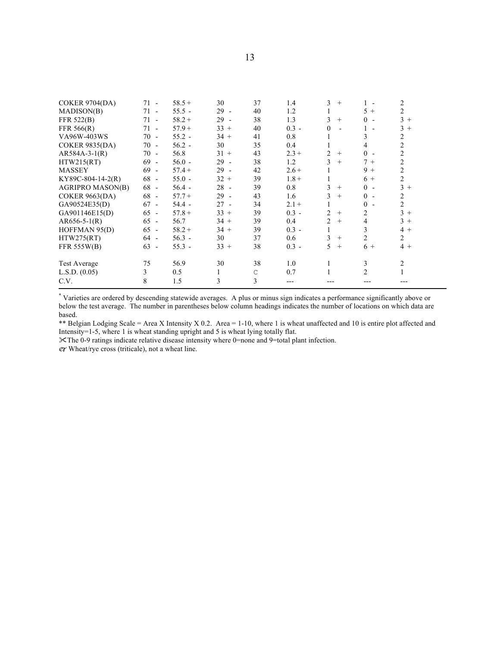| <b>COKER 9704(DA)</b>   | $71 -$ | $58.5+$  | 30     | 37           | 1.4     | 3<br>$^{+}$           |                | 2              |
|-------------------------|--------|----------|--------|--------------|---------|-----------------------|----------------|----------------|
| MADISON(B)              | $71 -$ | $55.5 -$ | $29 -$ | 40           | 1.2     | $\mathbf{I}$          | $5+$           | $\overline{2}$ |
| FFR 522(B)              | $71 -$ | $58.2 +$ | $29 -$ | 38           | 1.3     | 3<br>$^{+}$           | $0 -$          | $3 +$          |
| FFR 566(R)              | $71 -$ | $57.9+$  | $33 +$ | 40           | $0.3 -$ | $\theta$              | $1 -$          | $3+$           |
| VA96W-403WS             | $70 -$ | $55.2 -$ | $34 +$ | 41           | 0.8     |                       | 3              | 2              |
| <b>COKER 9835(DA)</b>   | $70 -$ | $56.2 -$ | 30     | 35           | 0.4     | 1                     | 4              | $\overline{2}$ |
| $AR584A-3-1(R)$         | $70 -$ | 56.8     | $31 +$ | 43           | $2.3 +$ | 2<br>$+$              | $0 -$          | $\overline{c}$ |
| HTW215(RT)              | $69 -$ | $56.0 -$ | $29 -$ | 38           | 1.2     | 3<br>$+$              | $7+$           | $\overline{2}$ |
| <b>MASSEY</b>           | $69 -$ | $57.4+$  | $29 -$ | 42           | $2.6 +$ |                       | $9+$           | $\overline{2}$ |
| KY89C-804-14-2(R)       | $68 -$ | $55.0 -$ | $32 +$ | 39           | $1.8 +$ | $\mathbf{I}$          | $6+$           | $\overline{c}$ |
| <b>AGRIPRO MASON(B)</b> | $68 -$ | $56.4 -$ | $28 -$ | 39           | 0.8     | 3<br>$^{+}$           | $0 -$          | $3+$           |
| <b>COKER 9663(DA)</b>   | $68 -$ | $57.7+$  | $29 -$ | 43           | 1.6     | 3<br>$^{+}$           | $0 -$          | 2              |
| GA90524E35(D)           | $67 -$ | $54.4 -$ | $27 -$ | 34           | $2.1 +$ | $\mathbf{I}$          | $0 -$          | $\overline{2}$ |
| GA901146E15(D)          | $65 -$ | $57.8+$  | $33 +$ | 39           | $0.3 -$ | $\overline{c}$<br>$+$ | $\overline{2}$ | $3+$           |
| $AR656-5-1(R)$          | $65 -$ | 56.7     | $34 +$ | 39           | 0.4     | $\overline{c}$<br>$+$ | 4              | $3+$           |
| HOFFMAN 95(D)           | $65 -$ | $58.2 +$ | $34 +$ | 39           | $0.3 -$ | 1                     | 3              | $4+$           |
| HTW275(RT)              | $64 -$ | $56.3 -$ | 30     | 37           | 0.6     | 3<br>$+$              | $\overline{2}$ | $\overline{2}$ |
| <b>FFR 555W(B)</b>      | $63 -$ | $55.3 -$ | $33 +$ | 38           | $0.3 -$ | 5<br>$+$              | $6+$           | $4+$           |
| <b>Test Average</b>     | 75     | 56.9     | 30     | 38           | 1.0     | 1                     | 3              | 2              |
| L.S.D. (0.05)           | 3      | 0.5      | 1      | $\mathsf{C}$ | 0.7     | 1                     | $\overline{2}$ |                |
| C.V.                    | 8      | 1.5      | 3      | 3            | ---     |                       |                |                |

\* Varieties are ordered by descending statewide averages. A plus or minus sign indicates a performance significantly above or below the test average. The number in parentheses below column headings indicates the number of locations on which data are based.

\*\* Belgian Lodging Scale = Area X Intensity X 0.2. Area = 1-10, where 1 is wheat unaffected and 10 is entire plot affected and Intensity=1-5, where 1 is wheat standing upright and 5 is wheat lying totally flat.

The 0-9 ratings indicate relative disease intensity where 0=none and 9=total plant infection.

 $e\tau$  Wheat/rye cross (triticale), not a wheat line.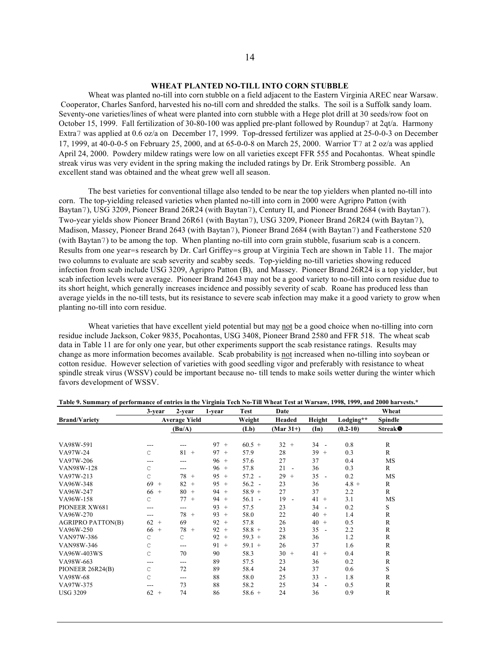# **WHEAT PLANTED NO-TILL INTO CORN STUBBLE**

Wheat was planted no-till into corn stubble on a field adjacent to the Eastern Virginia AREC near Warsaw. Cooperator, Charles Sanford, harvested his no-till corn and shredded the stalks. The soil is a Suffolk sandy loam. Seventy-one varieties/lines of wheat were planted into corn stubble with a Hege plot drill at 30 seeds/row foot on October 15, 1999. Fall fertilization of 30-80-100 was applied pre-plant followed by Roundup7 at 2qt/a. Harmony Extra7 was applied at 0.6 oz/a on December 17, 1999. Top-dressed fertilizer was applied at 25-0-0-3 on December 17, 1999, at 40-0-0-5 on February 25, 2000, and at 65-0-0-8 on March 25, 2000. Warrior T7 at 2 oz/a was applied April 24, 2000. Powdery mildew ratings were low on all varieties except FFR 555 and Pocahontas. Wheat spindle streak virus was very evident in the spring making the included ratings by Dr. Erik Stromberg possible. An excellent stand was obtained and the wheat grew well all season.

The best varieties for conventional tillage also tended to be near the top yielders when planted no-till into corn. The top-yielding released varieties when planted no-till into corn in 2000 were Agripro Patton (with Baytan7), USG 3209, Pioneer Brand 26R24 (with Baytan7), Century II, and Pioneer Brand 2684 (with Baytan7). Two-year yields show Pioneer Brand 26R61 (with Baytan7), USG 3209, Pioneer Brand 26R24 (with Baytan7), Madison, Massey, Pioneer Brand 2643 (with Baytan7), Pioneer Brand 2684 (with Baytan7) and Featherstone 520 (with Baytan7) to be among the top. When planting no-till into corn grain stubble, fusarium scab is a concern. Results from one year=s research by Dr. Carl Griffey=s group at Virginia Tech are shown in Table 11. The major two columns to evaluate are scab severity and scabby seeds. Top-yielding no-till varieties showing reduced infection from scab include USG 3209, Agripro Patton (B), and Massey. Pioneer Brand 26R24 is a top yielder, but scab infection levels were average. Pioneer Brand 2643 may not be a good variety to no-till into corn residue due to its short height, which generally increases incidence and possibly severity of scab. Roane has produced less than average yields in the no-till tests, but its resistance to severe scab infection may make it a good variety to grow when planting no-till into corn residue.

Wheat varieties that have excellent yield potential but may not be a good choice when no-tilling into corn residue include Jackson, Coker 9835, Pocahontas, USG 3408, Pioneer Brand 2580 and FFR 518. The wheat scab data in Table 11 are for only one year, but other experiments support the scab resistance ratings. Results may change as more information becomes available. Scab probability is not increased when no-tilling into soybean or cotton residue. However selection of varieties with good seedling vigor and preferably with resistance to wheat spindle streak virus (WSSV) could be important because no- till tends to make soils wetter during the winter which favors development of WSSV.

|                          | 3-year               | 2-year       | 1-year    | <b>Test</b> | Date         |                                |            | Wheat                      |  |
|--------------------------|----------------------|--------------|-----------|-------------|--------------|--------------------------------|------------|----------------------------|--|
| <b>Brand/Variety</b>     | <b>Average Yield</b> |              |           | Weight      | Headed       | Height                         | Lodging**  | <b>Spindle</b>             |  |
|                          |                      | (Bu/A)       |           | (Lb)        | $(Mar 31+)$  | $(\text{In})$                  | $(0.2-10)$ | <b>Streak</b> <sup>O</sup> |  |
| VA98W-591                |                      | ---          | $97 +$    | $60.5 +$    | 32<br>$+$    | $34 -$                         | 0.8        | R                          |  |
| VA97W-24                 | С                    | 81<br>$+$    | $97 +$    | 57.9        | 28           | $39 +$                         | 0.3        | R                          |  |
| VA97W-206                | ---                  | ---          | $96 +$    | 57.6        | 27           | 37                             | 0.4        | MS                         |  |
| VAN98W-128               | C                    | ---          | $96 +$    | 57.8        | 21<br>$\sim$ | 36                             | 0.3        | R                          |  |
| VA97W-213                | C                    | 78<br>$+$    | 95<br>$+$ | $57.2 -$    | 29<br>$+$    | 35<br>$\overline{\phantom{a}}$ | 0.2        | MS                         |  |
| VA96W-348                | 69<br>$^{+}$         | 82<br>$^{+}$ | $95 +$    | $56.2 -$    | 23           | 36                             | $4.8 +$    | R                          |  |
| VA96W-247                | $66 +$               | $80 +$       | $94 +$    | $58.9 +$    | 27           | 37                             | 2.2        | $\mathbb{R}$               |  |
| VA96W-158                | C                    | 77<br>$^{+}$ | $94 +$    | $56.1 -$    | 19<br>$\sim$ | $41 +$                         | 3.1        | MS                         |  |
| PIONEER XW681            | ---                  | ---          | 93<br>$+$ | 57.5        | 23           | $34 -$                         | 0.2        | S                          |  |
| VA96W-270                | ---                  | 78<br>$+$    | 93<br>$+$ | 58.0        | 22           | $40 +$                         | 1.4        | R                          |  |
| <b>AGRIPRO PATTON(B)</b> | $62 +$               | 69           | $92 +$    | 57.8        | 26           | $40 +$                         | 0.5        | $\mathbb{R}$               |  |
| VA96W-250                | $66 +$               | 78<br>$+$    | 92<br>$+$ | $58.8 +$    | 23           | 35<br>$\sim$                   | 2.2        | $\mathbb{R}$               |  |
| VAN97W-386               | C                    | C            | 92<br>$+$ | $59.3 +$    | 28           | 36                             | 1.2        | R                          |  |
| VAN98W-346               | C                    | ---          | 91<br>$+$ | $59.1 +$    | 26           | 37                             | 1.6        | R                          |  |
| VA96W-403WS              | $\mathsf{C}$         | 70           | 90        | 58.3        | $30 +$       | $41 +$                         | 0.4        | $\mathbb{R}$               |  |
| VA98W-663                | ---                  | ---          | 89        | 57.5        | 23           | 36                             | 0.2        | R                          |  |
| PIONEER 26R24(B)         | C                    | 72           | 89        | 58.4        | 24           | 37                             | 0.6        | S                          |  |
| VA98W-68                 | C                    | ---          | 88        | 58.0        | 25           | $33 -$                         | 1.8        | R                          |  |
| VA97W-375                |                      | 73           | 88        | 58.2        | 25           | $34 -$                         | 0.5        | $\mathbb{R}$               |  |
| <b>USG 3209</b>          | $62 +$               | 74           | 86        | $58.6 +$    | 24           | 36                             | 0.9        | $\mathbb{R}$               |  |

Table 9. Summary of performance of entries in the Virginia Tech No-Till Wheat Test at Warsaw, 1998, 1999, and 2000 harvests.\*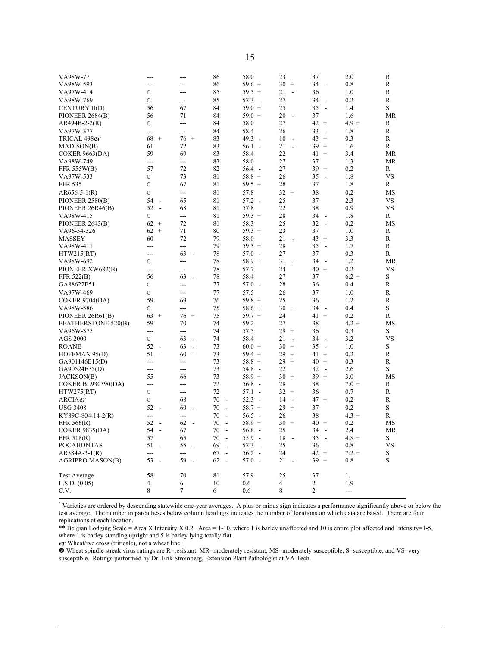| VA98W-77                  |                                |                                | 86                             | 58.0                             | 23                             | 37                             | 2.0     | R         |
|---------------------------|--------------------------------|--------------------------------|--------------------------------|----------------------------------|--------------------------------|--------------------------------|---------|-----------|
| VA98W-593                 | ---                            | ---                            | 86                             | $59.6 +$                         | $30 +$                         | 34<br>$\overline{\phantom{a}}$ | 0.8     | R         |
| VA97W-414                 | C                              | ---                            | 85                             | $59.5 +$                         | 21<br>$\overline{a}$           | 36                             | 1.0     | R         |
| VA98W-769                 | $\mathsf{C}$                   | ---                            | 85                             | 57.3<br>$\overline{\phantom{a}}$ | 27                             | 34<br>$\blacksquare$           | 0.2     | R         |
| <b>CENTURY II(D)</b>      | 56                             | 67                             | 84                             | $59.0 +$                         | 25                             | 35<br>$\sim$                   | 1.4     | S         |
| PIONEER 2684(B)           | 56                             | 71                             | 84                             | $59.0 +$                         | 20<br>$\sim$                   | 37                             | 1.6     | <b>MR</b> |
| $AR494B-2-2(R)$           | С                              | $\overline{a}$                 | 84                             | 58.0                             | 27                             | $42 +$                         | $4.9 +$ | R         |
| VA97W-377                 | ---                            | ---                            | 84                             | 58.4                             | 26                             | 33<br>$\overline{\phantom{a}}$ | 1.8     | R         |
| TRICAL 498 <i>e</i> r     | 68<br>$^{+}$                   | 76<br>$+$                      | 83                             | 49.3<br>$\sim$                   | 10<br>$\sim$                   | 43<br>$+$                      | 0.3     | R         |
| MADISON(B)                | 61                             | 72                             | 83                             | $56.1 -$                         | 21<br>$\overline{a}$           | 39<br>$+$                      | 1.6     | R         |
| <b>COKER 9663(DA)</b>     | 59                             | 69                             | 83                             | 58.4                             | 22                             | 41<br>$+$                      | 3.4     | <b>MR</b> |
| VA98W-749                 | $\overline{a}$                 | $---$                          | 83                             | 58.0                             | 27                             | 37                             | 1.3     | MR        |
| <b>FFR 555W(B)</b>        | 57                             | 72                             | 82                             | $56.4 -$                         | 27                             | 39<br>$+$                      | 0.2     | R         |
| VA97W-533                 | $\mathsf{C}$                   | 73                             | 81                             | $58.8 +$                         | 26                             | 35<br>$\sim$                   | 1.8     | <b>VS</b> |
| <b>FFR 535</b>            | $\mathsf{C}$                   | 67                             | 81                             | $59.5 +$                         | 28                             | 37                             | 1.8     | R         |
| $AR656-5-1(R)$            | C                              | ---                            | 81                             | 57.8                             | $32 +$                         | 38                             | 0.2     | MS        |
| PIONEER 2580(B)           | 54<br>$\blacksquare$           | 65                             | 81                             | $57.2 -$                         | 25                             | 37                             | 2.3     | VS        |
| PIONEER 26R46(B)          | 52<br>$\overline{\phantom{a}}$ | 68                             | 81                             | 57.8                             | 22                             | 38                             | 0.9     | <b>VS</b> |
| VA98W-415                 | C                              | ---                            | 81                             | $59.3 +$                         | 28                             | 34<br>$\sim$                   | 1.8     | R         |
| PIONEER 2643(B)           | 62<br>$\qquad \qquad +$        | 72                             | 81                             | 58.3                             | 25                             | 32<br>$\frac{1}{2}$            | 0.2     | MS        |
| VA96-54-326               | 62<br>$+$                      | 71                             | 80                             | $59.3 +$                         | 23                             | 37                             | 1.0     | R         |
| <b>MASSEY</b>             | 60                             | 72                             | 79                             | 58.0                             | 21<br>$\overline{\phantom{a}}$ | 43<br>$+$                      | 3.3     | R         |
| VA98W-411                 | $---$                          | $\overline{a}$                 | 79                             | $59.3 +$                         | 28                             | 35<br>$\overline{a}$           | 1.7     | R         |
| HTW215(RT)                | ---                            | 63<br>$\sim$                   | 78                             | 57.0<br>$\sim$                   | 27                             | 37                             | 0.3     | R         |
| VA98W-692                 | C                              | ---                            | 78                             | $58.9 +$                         | $31 +$                         | 34<br>$\sim$                   | 1.2     | MR        |
| PIONEER XW682(B)          | $\overline{a}$                 | ---                            | 78                             | 57.7                             | 24                             | 40<br>$+$                      | 0.2     | <b>VS</b> |
| FFR 522(B)                | 56                             | 63<br>$\overline{\phantom{a}}$ | 78                             | 58.4                             | 27                             | 37                             | $6.2 +$ | S         |
| GA88622E51                | C                              | ---                            | 77                             | $57.0 -$                         | 28                             | 36                             | 0.4     | R         |
| VA97W-469                 | $\mathsf{C}$                   | ---                            | 77                             | 57.5                             | 26                             | 37                             | 1.0     | R         |
| <b>COKER 9704(DA)</b>     | 59                             | 69                             | 76                             | $59.8 +$                         | 25                             | 36                             | 1.2     | R         |
| VA98W-586                 | $\mathsf{C}$                   | ---                            | 75                             | $58.6 +$                         | 30<br>$+$                      | 34<br>$\sim$                   | 0.4     | S         |
| PIONEER 26R61(B)          | 63<br>$^{+}$                   | 76<br>$+$                      | 75                             | $59.7 +$                         | 24                             | 41<br>$+$                      | 0.2     | R         |
| FEATHERSTONE 520(B)       | 59                             | 70                             | 74                             | 59.2                             | 27                             | 38                             | $4.2 +$ | MS        |
| VA96W-375                 | ---                            | ---                            | 74                             | 57.5                             | 29<br>$+$                      | 36                             | 0.3     | S         |
| <b>AGS 2000</b>           | C                              | 63<br>$\blacksquare$           | 74                             | 58.4                             | 21<br>$\overline{\phantom{a}}$ | 34<br>$\overline{\phantom{a}}$ | 3.2     | <b>VS</b> |
| <b>ROANE</b>              | 52<br>$\blacksquare$           | 63<br>$\overline{\phantom{a}}$ | 73                             | $60.0 +$                         | 30<br>$^{+}$                   | 35<br>$\overline{\phantom{a}}$ | 1.0     | S         |
| HOFFMAN 95(D)             | 51<br>$\overline{a}$           | 60<br>$\sim$                   | 73                             | $59.4 +$                         | 29<br>$^{+}$                   | 41<br>$\! + \!\!\!\!$          | 0.2     | R         |
| GA901146E15(D)            | ---                            | ---                            | 73                             | $58.8 +$                         | 29<br>$^{+}$                   | 40<br>$+$                      | 0.3     | R         |
| GA90524E35(D)             | $\overline{a}$                 | $\overline{a}$                 | 73                             | 54.8<br>$\sim$                   | 22                             | 32<br>$\overline{\phantom{a}}$ | 2.6     | S         |
| JACKSON(B)                | 55                             | 66                             | 73                             | $58.9 +$                         | 30<br>$+$                      | 39<br>$+$                      | 3.0     | MS        |
| <b>COKER BL930390(DA)</b> | ---                            | ---                            | 72                             | $56.8 -$                         | 28                             | 38                             | $7.0 +$ | R         |
| HTW275(RT)                | $\mathsf{C}$                   | ---                            | 72                             | 57.1<br>$\sim$                   | 32<br>$+$                      | 36                             | 0.7     | R         |
| ARCIA <i>e</i> t          | C                              | 68                             | 70<br>$\blacksquare$           | 52.3<br>$\overline{\phantom{a}}$ | 14<br>$\sim$                   | 47<br>$+$                      | 0.2     | R         |
| <b>USG 3408</b>           | 52<br>$\overline{\phantom{a}}$ | 60<br>$\sim$                   | 70<br>$\overline{a}$           | $58.7 +$                         | 29<br>$+$                      | 37                             | 0.2     | S         |
| KY89C-804-14-2(R)         | ---                            | ---                            | 70<br>$\overline{\phantom{a}}$ | 56.5<br>$\sim$                   | 26                             | 38                             | $4.3 +$ | R         |
| FFR 566(R)                | 52<br>$\blacksquare$           | 62<br>$\blacksquare$           | 70<br>$\overline{\phantom{a}}$ | $58.9 +$                         | 30<br>$^{+}$                   | 40<br>$+$                      | 0.2     | MS        |
| <b>COKER 9835(DA)</b>     | 54<br>$\overline{\phantom{a}}$ | 67                             | 70<br>$\overline{\phantom{a}}$ | 56.8<br>$\overline{\phantom{a}}$ | 25                             | 34<br>$\overline{\phantom{a}}$ | 2.4     | MR        |
| FFR 518(R)                | 57                             | 65                             | 70<br>$\overline{\phantom{a}}$ | $55.9 -$                         | 18<br>$\overline{\phantom{a}}$ | 35<br>$\overline{\phantom{a}}$ | $4.8 +$ | S         |
| <b>POCAHONTAS</b>         | 51<br>$\overline{\phantom{a}}$ | 55<br>$\overline{\phantom{a}}$ | 69<br>$\overline{\phantom{a}}$ | 57.3<br>$\overline{\phantom{a}}$ | 25                             | 36                             | 0.8     | VS        |
| AR584A-3-1(R)             | $\overline{a}$                 | ---                            | 67<br>$\overline{\phantom{a}}$ | 56.2<br>$\sim$                   | 24                             | 42<br>$+$                      | $7.2 +$ | S         |
| <b>AGRIPRO MASON(B)</b>   | 53<br>$\overline{\phantom{a}}$ | 59<br>$\sim$                   | 62<br>$\overline{\phantom{a}}$ | $57.0 -$                         | 21<br>$\overline{\phantom{a}}$ | 39<br>$+$                      | 0.8     | S         |
| <b>Test Average</b>       | 58                             | 70                             | 81                             | 57.9                             | 25                             | 37                             | 1.      |           |
| L.S.D. (0.05)             | 4                              | 6                              | 10                             | 0.6                              | $\overline{4}$                 | $\overline{c}$                 | 1.9     |           |
| C.V.                      | 8                              | 7                              | 6                              | 0.6                              | 8                              | $\overline{c}$                 | $---$   |           |
|                           |                                |                                |                                |                                  |                                |                                |         |           |

\* Varieties are ordered by descending statewide one-year averages. A plus or minus sign indicates a performance significantly above or below the test average. The number in parentheses below column headings indicates the number of locations on which data are based. There are four replications at each location.

\*\* Belgian Lodging Scale = Area X Intensity X 0.2. Area = 1-10, where 1 is barley unaffected and 10 is entire plot affected and Intensity=1-5, where 1 is barley standing upright and 5 is barley lying totally flat.

Wheat/rye cross (triticale), not a wheat line.

 Wheat spindle streak virus ratings are R=resistant, MR=moderately resistant, MS=moderately susceptible, S=susceptible, and VS=very susceptible. Ratings performed by Dr. Erik Stromberg, Extension Plant Pathologist at VA Tech.

15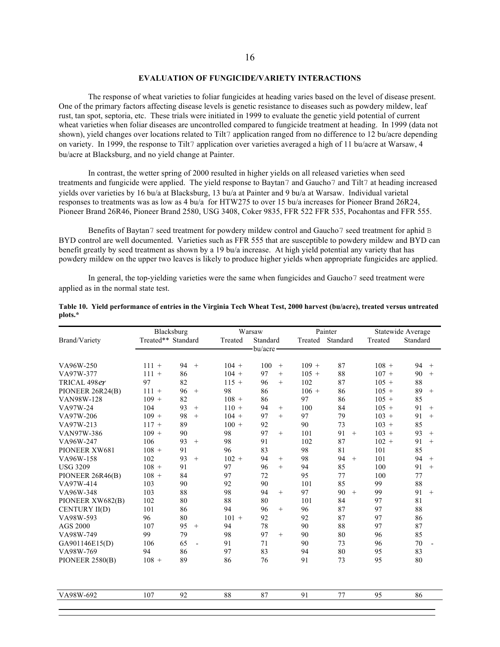#### **EVALUATION OF FUNGICIDE/VARIETY INTERACTIONS**

The response of wheat varieties to foliar fungicides at heading varies based on the level of disease present. One of the primary factors affecting disease levels is genetic resistance to diseases such as powdery mildew, leaf rust, tan spot, septoria, etc. These trials were initiated in 1999 to evaluate the genetic yield potential of current wheat varieties when foliar diseases are uncontrolled compared to fungicide treatment at heading. In 1999 (data not shown), yield changes over locations related to Tilt7 application ranged from no difference to 12 bu/acre depending on variety. In 1999, the response to Tilt7 application over varieties averaged a high of 11 bu/acre at Warsaw, 4 bu/acre at Blacksburg, and no yield change at Painter.

In contrast, the wetter spring of 2000 resulted in higher yields on all released varieties when seed treatments and fungicide were applied. The yield response to Baytan7 and Gaucho7 and Tilt7 at heading increased yields over varieties by 16 bu/a at Blacksburg, 13 bu/a at Painter and 9 bu/a at Warsaw. Individual varietal responses to treatments was as low as 4 bu/a for HTW275 to over 15 bu/a increases for Pioneer Brand 26R24, Pioneer Brand 26R46, Pioneer Brand 2580, USG 3408, Coker 9835, FFR 522 FFR 535, Pocahontas and FFR 555.

Benefits of Baytan7 seed treatment for powdery mildew control and Gaucho7 seed treatment for aphid B BYD control are well documented. Varieties such as FFR 555 that are susceptible to powdery mildew and BYD can benefit greatly by seed treatment as shown by a 19 bu/a increase. At high yield potential any variety that has powdery mildew on the upper two leaves is likely to produce higher yields when appropriate fungicides are applied.

In general, the top-yielding varieties were the same when fungicides and Gaucho7 seed treatment were applied as in the normal state test.

|                   | Blacksburg         |                      |         | Warsaw       |         | Painter   | Statewide Average |                      |  |
|-------------------|--------------------|----------------------|---------|--------------|---------|-----------|-------------------|----------------------|--|
| Brand/Variety     | Treated** Standard |                      | Treated | Standard     | Treated | Standard  | Treated           | Standard             |  |
|                   |                    |                      |         | -bu/acre-    |         |           |                   |                      |  |
| VA96W-250         | $111 +$            | 94<br>$+$            | $104 +$ | 100<br>$+$   | $109 +$ | 87        | $108 +$           | 94<br>$+$            |  |
| VA97W-377         | $111 +$            | 86                   | $104 +$ | 97<br>$^{+}$ | $105 +$ | 88        | $107 +$           | 90<br>$+$            |  |
| TRICAL 498er      | 97                 | 82                   | $115 +$ | 96<br>$+$    | 102     | 87        | $105 +$           | 88                   |  |
| PIONEER 26R24(B)  | $111 +$            | 96<br>$+$            | 98      | 86           | $106 +$ | 86        | $105 +$           | 89<br>$+$            |  |
| <b>VAN98W-128</b> | $109 +$            | 82                   | $108 +$ | 86           | 97      | 86        | $105 +$           | 85                   |  |
| VA97W-24          | 104                | 93<br>$+$            | $110 +$ | 94<br>$+$    | 100     | 84        | $105 +$           | 91<br>$+$            |  |
| VA97W-206         | $109 +$            | 98<br>$+$            | $104 +$ | 97<br>$+$    | 97      | 79        | $103 +$           | 91<br>$+$            |  |
| VA97W-213         | $117 +$            | 89                   | $100 +$ | 92           | 90      | 73        | $103 +$           | 85                   |  |
| VAN97W-386        | $109 +$            | 90                   | 98      | 97<br>$+$    | 101     | 91<br>$+$ | $103 +$           | 93<br>$+$            |  |
| VA96W-247         | 106                | 93<br>$+$            | 98      | 91           | 102     | 87        | $102 +$           | 91<br>$+$            |  |
| PIONEER XW681     | $108 +$            | 91                   | 96      | 83           | 98      | 81        | 101               | 85                   |  |
| VA96W-158         | 102                | 93<br>$+$            | $102 +$ | 94<br>$+$    | 98      | 94<br>$+$ | 101               | 94<br>$+$            |  |
| <b>USG 3209</b>   | $108 +$            | 91                   | 97      | 96<br>$+$    | 94      | 85        | 100               | 91<br>$+$            |  |
| PIONEER 26R46(B)  | $108 +$            | 84                   | 97      | 72           | 95      | 77        | 100               | 77                   |  |
| VA97W-414         | 103                | 90                   | 92      | 90           | 101     | 85        | 99                | 88                   |  |
| VA96W-348         | 103                | 88                   | 98      | 94<br>$+$    | 97      | 90<br>$+$ | 99                | 91<br>$+$            |  |
| PIONEER XW682(B)  | 102                | 80                   | 88      | 80           | 101     | 84        | 97                | 81                   |  |
| CENTURY II(D)     | 101                | 86                   | 94      | 96<br>$+$    | 96      | 87        | 97                | 88                   |  |
| VA98W-593         | 96                 | 80                   | $101 +$ | 92           | 92      | 87        | 97                | 86                   |  |
| <b>AGS 2000</b>   | 107                | 95<br>$+$            | 94      | 78           | 90      | 88        | 97                | 87                   |  |
| VA98W-749         | 99                 | 79                   | 98      | 97<br>$+$    | 90      | 80        | 96                | 85                   |  |
| GA901146E15(D)    | 106                | 65<br>$\overline{a}$ | 91      | 71           | 90      | 73        | 96                | 70<br>$\blacksquare$ |  |
| VA98W-769         | 94                 | 86                   | 97      | 83           | 94      | 80        | 95                | 83                   |  |
| PIONEER 2580(B)   | $108 +$            | 89                   | 86      | 76           | 91      | 73        | 95                | 80                   |  |
| VA98W-692         | 107                | 92                   | 88      | 87           | 91      | 77        | 95                | 86                   |  |

|         | Table 10. Yield performance of entries in the Virginia Tech Wheat Test, 2000 harvest (bu/acre), treated versus untreated |  |  |  |
|---------|--------------------------------------------------------------------------------------------------------------------------|--|--|--|
| plots.* |                                                                                                                          |  |  |  |